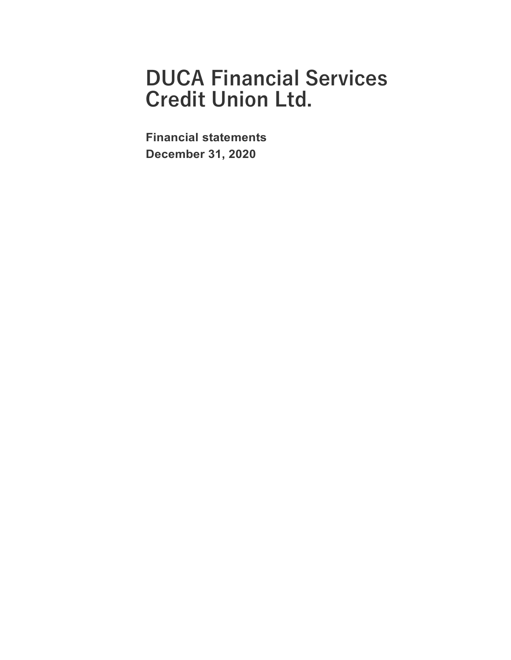**Financial statements December 31, 2020**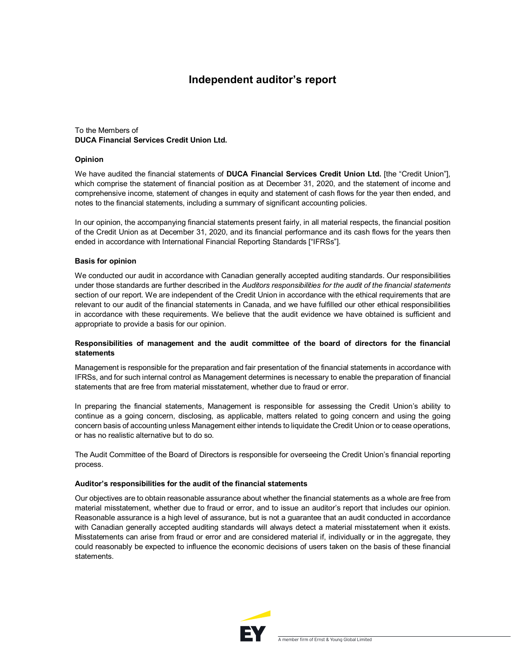# **Independent auditor's report**

### To the Members of **DUCA Financial Services Credit Union Ltd.**

#### **Opinion**

We have audited the financial statements of **DUCA Financial Services Credit Union Ltd.** [the "Credit Union"], which comprise the statement of financial position as at December 31, 2020, and the statement of income and comprehensive income, statement of changes in equity and statement of cash flows for the year then ended, and notes to the financial statements, including a summary of significant accounting policies.

In our opinion, the accompanying financial statements present fairly, in all material respects, the financial position of the Credit Union as at December 31, 2020, and its financial performance and its cash flows for the years then ended in accordance with International Financial Reporting Standards ["IFRSs"].

#### **Basis for opinion**

We conducted our audit in accordance with Canadian generally accepted auditing standards. Our responsibilities under those standards are further described in the *Auditors responsibilities for the audit of the financial statements* section of our report. We are independent of the Credit Union in accordance with the ethical requirements that are relevant to our audit of the financial statements in Canada, and we have fulfilled our other ethical responsibilities in accordance with these requirements. We believe that the audit evidence we have obtained is sufficient and appropriate to provide a basis for our opinion.

#### **Responsibilities of management and the audit committee of the board of directors for the financial statements**

Management is responsible for the preparation and fair presentation of the financial statements in accordance with IFRSs, and for such internal control as Management determines is necessary to enable the preparation of financial statements that are free from material misstatement, whether due to fraud or error.

In preparing the financial statements, Management is responsible for assessing the Credit Union's ability to continue as a going concern, disclosing, as applicable, matters related to going concern and using the going concern basis of accounting unless Management either intends to liquidate the Credit Union or to cease operations, or has no realistic alternative but to do so.

The Audit Committee of the Board of Directors is responsible for overseeing the Credit Union's financial reporting process.

#### **Auditor's responsibilities for the audit of the financial statements**

Our objectives are to obtain reasonable assurance about whether the financial statements as a whole are free from material misstatement, whether due to fraud or error, and to issue an auditor's report that includes our opinion. Reasonable assurance is a high level of assurance, but is not a guarantee that an audit conducted in accordance with Canadian generally accepted auditing standards will always detect a material misstatement when it exists. Misstatements can arise from fraud or error and are considered material if, individually or in the aggregate, they could reasonably be expected to influence the economic decisions of users taken on the basis of these financial statements.

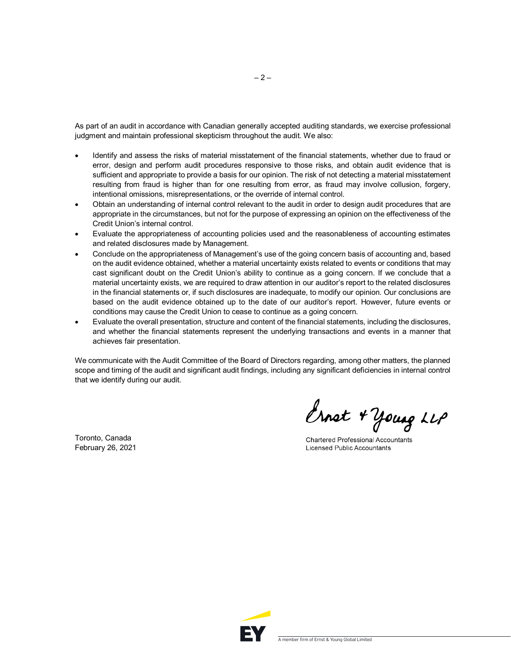As part of an audit in accordance with Canadian generally accepted auditing standards, we exercise professional judgment and maintain professional skepticism throughout the audit. We also:

- Identify and assess the risks of material misstatement of the financial statements, whether due to fraud or error, design and perform audit procedures responsive to those risks, and obtain audit evidence that is sufficient and appropriate to provide a basis for our opinion. The risk of not detecting a material misstatement resulting from fraud is higher than for one resulting from error, as fraud may involve collusion, forgery, intentional omissions, misrepresentations, or the override of internal control.
- Obtain an understanding of internal control relevant to the audit in order to design audit procedures that are appropriate in the circumstances, but not for the purpose of expressing an opinion on the effectiveness of the Credit Union's internal control.
- Evaluate the appropriateness of accounting policies used and the reasonableness of accounting estimates and related disclosures made by Management.
- Conclude on the appropriateness of Management's use of the going concern basis of accounting and, based on the audit evidence obtained, whether a material uncertainty exists related to events or conditions that may cast significant doubt on the Credit Union's ability to continue as a going concern. If we conclude that a material uncertainty exists, we are required to draw attention in our auditor's report to the related disclosures in the financial statements or, if such disclosures are inadequate, to modify our opinion. Our conclusions are based on the audit evidence obtained up to the date of our auditor's report. However, future events or conditions may cause the Credit Union to cease to continue as a going concern.
- Evaluate the overall presentation, structure and content of the financial statements, including the disclosures, and whether the financial statements represent the underlying transactions and events in a manner that achieves fair presentation.

We communicate with the Audit Committee of the Board of Directors regarding, among other matters, the planned scope and timing of the audit and significant audit findings, including any significant deficiencies in internal control that we identify during our audit.

Toronto, Canada February 26, 2021

Ernet + Young LLP

**Chartered Professional Accountants** Licensed Public Accountants

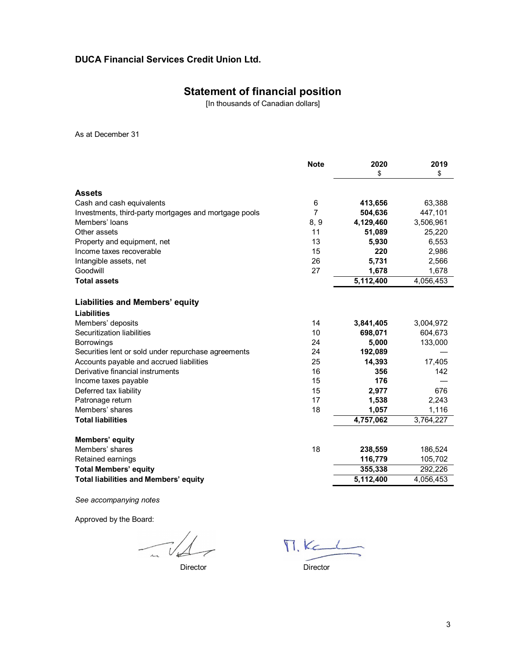# **Statement of financial position**

[In thousands of Canadian dollars]

As at December 31

|                                                       | <b>Note</b> | 2020      | 2019      |
|-------------------------------------------------------|-------------|-----------|-----------|
|                                                       |             | \$        | \$        |
| <b>Assets</b>                                         |             |           |           |
| Cash and cash equivalents                             | 6           | 413,656   | 63,388    |
| Investments, third-party mortgages and mortgage pools | 7           | 504.636   | 447.101   |
| Members' loans                                        | 8, 9        | 4,129,460 | 3,506,961 |
| Other assets                                          | 11          | 51,089    | 25,220    |
| Property and equipment, net                           | 13          | 5,930     | 6,553     |
| Income taxes recoverable                              | 15          | 220       | 2,986     |
| Intangible assets, net                                | 26          | 5,731     | 2,566     |
| Goodwill                                              | 27          | 1,678     | 1,678     |
| <b>Total assets</b>                                   |             | 5,112,400 | 4,056,453 |
| Liabilities and Members' equity                       |             |           |           |
| <b>Liabilities</b>                                    |             |           |           |
| Members' deposits                                     | 14          | 3,841,405 | 3,004,972 |
| Securitization liabilities                            | 10          | 698,071   | 604,673   |
| <b>Borrowings</b>                                     | 24          | 5,000     | 133,000   |
| Securities lent or sold under repurchase agreements   | 24          | 192,089   |           |
| Accounts payable and accrued liabilities              | 25          | 14,393    | 17,405    |
| Derivative financial instruments                      | 16          | 356       | 142       |
| Income taxes payable                                  | 15          | 176       |           |
| Deferred tax liability                                | 15          | 2,977     | 676       |
| Patronage return                                      | 17          | 1,538     | 2,243     |
| Members' shares                                       | 18          | 1,057     | 1,116     |
| <b>Total liabilities</b>                              |             | 4,757,062 | 3,764,227 |
| Members' equity                                       |             |           |           |
| Members' shares                                       | 18          | 238,559   | 186,524   |
| Retained earnings                                     |             | 116,779   | 105,702   |
| <b>Total Members' equity</b>                          |             | 355,338   | 292,226   |
| <b>Total liabilities and Members' equity</b>          |             | 5,112,400 | 4,056,453 |

*See accompanying notes*

Approved by the Board:

Director Director

 $\P$ . Kel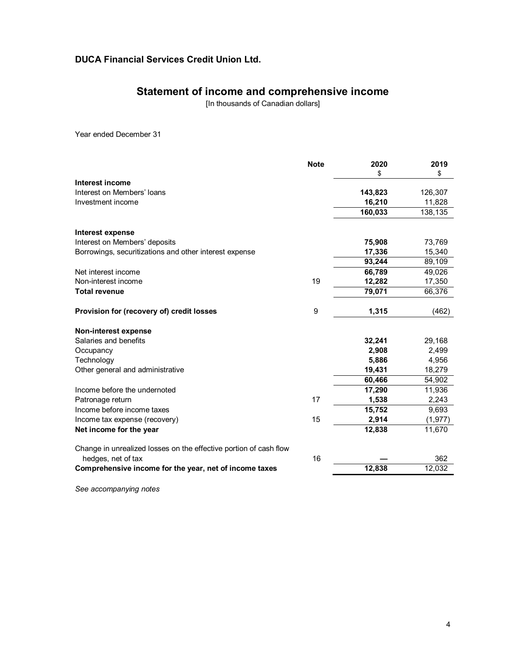# **Statement of income and comprehensive income**

[In thousands of Canadian dollars]

Year ended December 31

|                                                                   | <b>Note</b> | 2020    | 2019     |
|-------------------------------------------------------------------|-------------|---------|----------|
| Interest income                                                   |             | \$      | \$       |
| Interest on Members' loans                                        |             | 143,823 | 126,307  |
| Investment income                                                 |             | 16,210  | 11,828   |
|                                                                   |             | 160,033 | 138,135  |
| Interest expense                                                  |             |         |          |
| Interest on Members' deposits                                     |             | 75,908  | 73,769   |
| Borrowings, securitizations and other interest expense            |             | 17,336  | 15,340   |
|                                                                   |             | 93,244  | 89,109   |
| Net interest income                                               |             | 66,789  | 49,026   |
| Non-interest income                                               | 19          | 12,282  | 17,350   |
| <b>Total revenue</b>                                              |             | 79,071  | 66,376   |
| Provision for (recovery of) credit losses                         | 9           | 1,315   | (462)    |
| Non-interest expense                                              |             |         |          |
| Salaries and benefits                                             |             | 32,241  | 29,168   |
| Occupancy                                                         |             | 2,908   | 2,499    |
| Technology                                                        |             | 5,886   | 4,956    |
| Other general and administrative                                  |             | 19,431  | 18,279   |
|                                                                   |             | 60,466  | 54,902   |
| Income before the undernoted                                      |             | 17,290  | 11,936   |
| Patronage return                                                  | 17          | 1,538   | 2,243    |
| Income before income taxes                                        |             | 15,752  | 9,693    |
| Income tax expense (recovery)                                     | 15          | 2,914   | (1, 977) |
| Net income for the year                                           |             | 12,838  | 11,670   |
| Change in unrealized losses on the effective portion of cash flow |             |         |          |
| hedges, net of tax                                                | 16          |         | 362      |
| Comprehensive income for the year, net of income taxes            |             | 12,838  | 12,032   |

*See accompanying notes*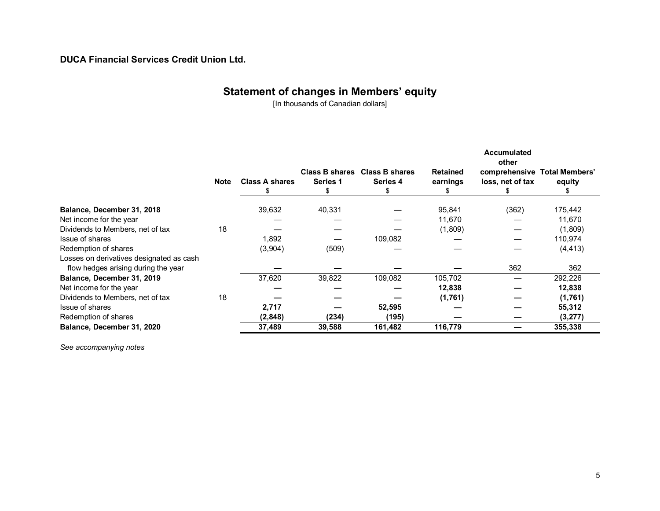# **Statement of changes in Members' equity**

[In thousands of Canadian dollars]

|                                          | <b>Note</b> | <b>Class A shares</b> | <b>Class B shares</b><br><b>Series 1</b><br>S | <b>Class B shares</b><br>Series 4<br>S. | Retained<br>earnings<br>S. | <b>Accumulated</b><br>other<br>comprehensive Total Members'<br>loss, net of tax | equity<br>SБ |
|------------------------------------------|-------------|-----------------------|-----------------------------------------------|-----------------------------------------|----------------------------|---------------------------------------------------------------------------------|--------------|
| Balance, December 31, 2018               |             | 39,632                | 40,331                                        |                                         | 95,841                     | (362)                                                                           | 175,442      |
| Net income for the year                  |             |                       |                                               |                                         | 11,670                     |                                                                                 | 11,670       |
| Dividends to Members, net of tax         | 18          |                       |                                               |                                         | (1,809)                    |                                                                                 | (1,809)      |
| Issue of shares                          |             | 1,892                 |                                               | 109,082                                 |                            |                                                                                 | 110,974      |
| Redemption of shares                     |             | (3,904)               | (509)                                         |                                         |                            |                                                                                 | (4, 413)     |
| Losses on derivatives designated as cash |             |                       |                                               |                                         |                            |                                                                                 |              |
| flow hedges arising during the year      |             |                       |                                               |                                         |                            | 362                                                                             | 362          |
| Balance, December 31, 2019               |             | 37,620                | 39,822                                        | 109,082                                 | 105,702                    |                                                                                 | 292,226      |
| Net income for the year                  |             |                       |                                               |                                         | 12,838                     |                                                                                 | 12,838       |
| Dividends to Members, net of tax         | 18          |                       |                                               |                                         | (1,761)                    |                                                                                 | (1,761)      |
| <b>Issue of shares</b>                   |             | 2,717                 |                                               | 52,595                                  |                            |                                                                                 | 55,312       |
| Redemption of shares                     |             | (2,848)               | (234)                                         | (195)                                   |                            |                                                                                 | (3, 277)     |
| Balance, December 31, 2020               |             | 37,489                | 39,588                                        | 161,482                                 | 116,779                    |                                                                                 | 355,338      |

*See accompanying notes*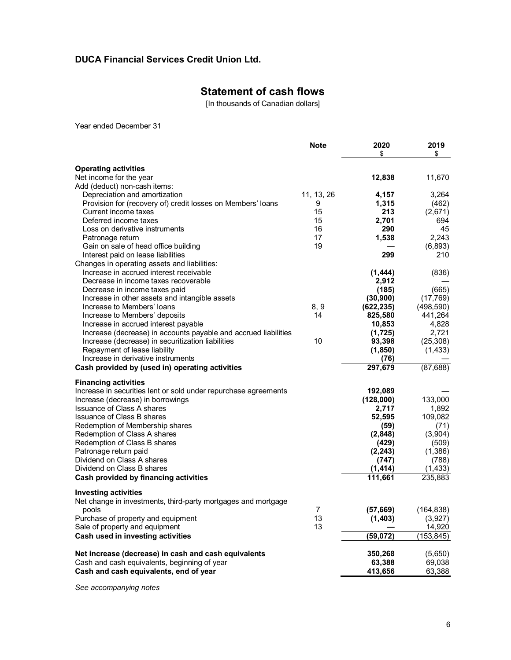# **Statement of cash flows**

[In thousands of Canadian dollars]

Year ended December 31

|                                                                 | <b>Note</b> | 2020<br>\$ | 2019<br>\$ |
|-----------------------------------------------------------------|-------------|------------|------------|
| <b>Operating activities</b>                                     |             |            |            |
| Net income for the year                                         |             | 12,838     | 11,670     |
| Add (deduct) non-cash items:                                    |             |            |            |
| Depreciation and amortization                                   | 11, 13, 26  | 4,157      | 3,264      |
| Provision for (recovery of) credit losses on Members' loans     | 9           | 1,315      | (462)      |
| Current income taxes                                            | 15          | 213        | (2,671)    |
| Deferred income taxes                                           | 15          | 2,701      | 694        |
| Loss on derivative instruments                                  | 16          | 290        | 45         |
| Patronage return                                                | 17          | 1,538      | 2,243      |
| Gain on sale of head office building                            | 19          |            | (6, 893)   |
| Interest paid on lease liabilities                              |             | 299        | 210        |
| Changes in operating assets and liabilities:                    |             |            |            |
| Increase in accrued interest receivable                         |             | (1, 444)   | (836)      |
| Decrease in income taxes recoverable                            |             | 2,912      |            |
| Decrease in income taxes paid                                   |             | (185)      | (665)      |
| Increase in other assets and intangible assets                  |             | (30, 900)  | (17,769)   |
| Increase to Members' loans                                      | 8,9         | (622, 235) | (498, 590) |
| Increase to Members' deposits                                   | 14          | 825,580    | 441,264    |
| Increase in accrued interest payable                            |             | 10,853     | 4,828      |
| Increase (decrease) in accounts payable and accrued liabilities |             | (1, 725)   | 2,721      |
| Increase (decrease) in securitization liabilities               | 10          | 93,398     | (25, 308)  |
| Repayment of lease liability                                    |             | (1, 850)   | (1, 433)   |
| Increase in derivative instruments                              |             | (76)       |            |
| Cash provided by (used in) operating activities                 |             | 297,679    | (87, 688)  |
| <b>Financing activities</b>                                     |             |            |            |
| Increase in securities lent or sold under repurchase agreements |             | 192,089    |            |
| Increase (decrease) in borrowings                               |             | (128,000)  | 133,000    |
| <b>Issuance of Class A shares</b>                               |             | 2,717      | 1,892      |
| <b>Issuance of Class B shares</b>                               |             | 52,595     | 109,082    |
| Redemption of Membership shares                                 |             | (59)       | (71)       |
| Redemption of Class A shares                                    |             | (2,848)    | (3,904)    |
| Redemption of Class B shares                                    |             | (429)      | (509)      |
| Patronage return paid                                           |             | (2, 243)   | (1,386)    |
| Dividend on Class A shares<br>Dividend on Class B shares        |             | (747)      | (788)      |
|                                                                 |             | (1, 414)   | (1, 433)   |
| Cash provided by financing activities                           |             | 111,661    | 235,883    |
| <b>Investing activities</b>                                     |             |            |            |
| Net change in investments, third-party mortgages and mortgage   |             |            |            |
| pools                                                           | 7           | (57, 669)  | (164, 838) |
| Purchase of property and equipment                              | 13          | (1, 403)   | (3,927)    |
| Sale of property and equipment                                  | 13          |            | 14,920     |
| Cash used in investing activities                               |             | (59, 072)  | (153, 845) |
| Net increase (decrease) in cash and cash equivalents            |             | 350,268    | (5,650)    |
| Cash and cash equivalents, beginning of year                    |             | 63,388     | 69,038     |
| Cash and cash equivalents, end of year                          |             | 413,656    | 63,388     |
|                                                                 |             |            |            |

*See accompanying notes*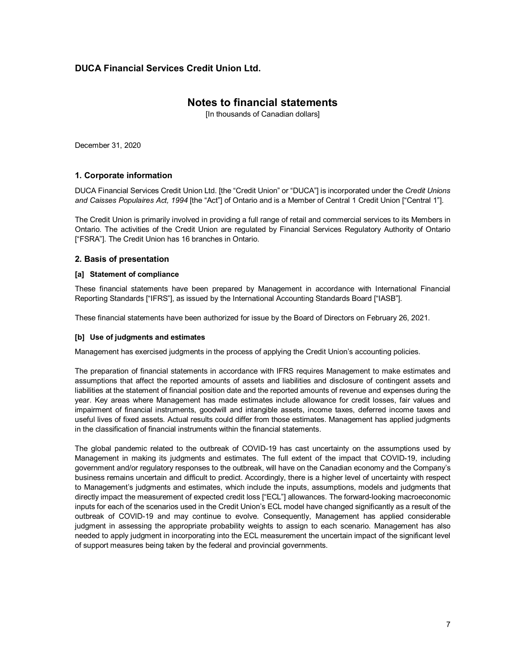### **Notes to financial statements**

[In thousands of Canadian dollars]

December 31, 2020

### **1. Corporate information**

DUCA Financial Services Credit Union Ltd. [the "Credit Union" or "DUCA"] is incorporated under the *Credit Unions and Caisses Populaires Act, 1994* [the "Act"] of Ontario and is a Member of Central 1 Credit Union ["Central 1"].

The Credit Union is primarily involved in providing a full range of retail and commercial services to its Members in Ontario. The activities of the Credit Union are regulated by Financial Services Regulatory Authority of Ontario ["FSRA"]. The Credit Union has 16 branches in Ontario.

### **2. Basis of presentation**

#### **[a] Statement of compliance**

These financial statements have been prepared by Management in accordance with International Financial Reporting Standards ["IFRS"], as issued by the International Accounting Standards Board ["IASB"].

These financial statements have been authorized for issue by the Board of Directors on February 26, 2021.

### **[b] Use of judgments and estimates**

Management has exercised judgments in the process of applying the Credit Union's accounting policies.

The preparation of financial statements in accordance with IFRS requires Management to make estimates and assumptions that affect the reported amounts of assets and liabilities and disclosure of contingent assets and liabilities at the statement of financial position date and the reported amounts of revenue and expenses during the year. Key areas where Management has made estimates include allowance for credit losses, fair values and impairment of financial instruments, goodwill and intangible assets, income taxes, deferred income taxes and useful lives of fixed assets. Actual results could differ from those estimates. Management has applied judgments in the classification of financial instruments within the financial statements.

The global pandemic related to the outbreak of COVID-19 has cast uncertainty on the assumptions used by Management in making its judgments and estimates. The full extent of the impact that COVID-19, including government and/or regulatory responses to the outbreak, will have on the Canadian economy and the Company's business remains uncertain and difficult to predict. Accordingly, there is a higher level of uncertainty with respect to Management's judgments and estimates, which include the inputs, assumptions, models and judgments that directly impact the measurement of expected credit loss ["ECL"] allowances. The forward-looking macroeconomic inputs for each of the scenarios used in the Credit Union's ECL model have changed significantly as a result of the outbreak of COVID-19 and may continue to evolve. Consequently, Management has applied considerable judgment in assessing the appropriate probability weights to assign to each scenario. Management has also needed to apply judgment in incorporating into the ECL measurement the uncertain impact of the significant level of support measures being taken by the federal and provincial governments.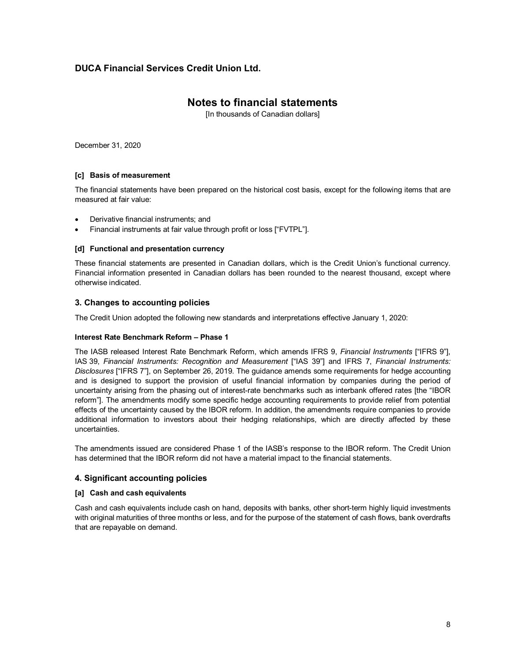# **Notes to financial statements**

[In thousands of Canadian dollars]

December 31, 2020

#### **[c] Basis of measurement**

The financial statements have been prepared on the historical cost basis, except for the following items that are measured at fair value:

- Derivative financial instruments; and
- Financial instruments at fair value through profit or loss ["FVTPL"].

#### **[d] Functional and presentation currency**

These financial statements are presented in Canadian dollars, which is the Credit Union's functional currency. Financial information presented in Canadian dollars has been rounded to the nearest thousand, except where otherwise indicated.

### **3. Changes to accounting policies**

The Credit Union adopted the following new standards and interpretations effective January 1, 2020:

#### **Interest Rate Benchmark Reform – Phase 1**

The IASB released Interest Rate Benchmark Reform, which amends IFRS 9, *Financial Instruments* ["IFRS 9"], IAS 39, *Financial Instruments: Recognition and Measurement* ["IAS 39"] and IFRS 7, *Financial Instruments: Disclosures* ["IFRS 7"], on September 26, 2019. The guidance amends some requirements for hedge accounting and is designed to support the provision of useful financial information by companies during the period of uncertainty arising from the phasing out of interest-rate benchmarks such as interbank offered rates [the "IBOR reform"]. The amendments modify some specific hedge accounting requirements to provide relief from potential effects of the uncertainty caused by the IBOR reform. In addition, the amendments require companies to provide additional information to investors about their hedging relationships, which are directly affected by these uncertainties.

The amendments issued are considered Phase 1 of the IASB's response to the IBOR reform. The Credit Union has determined that the IBOR reform did not have a material impact to the financial statements.

### **4. Significant accounting policies**

#### **[a] Cash and cash equivalents**

Cash and cash equivalents include cash on hand, deposits with banks, other short-term highly liquid investments with original maturities of three months or less, and for the purpose of the statement of cash flows, bank overdrafts that are repayable on demand.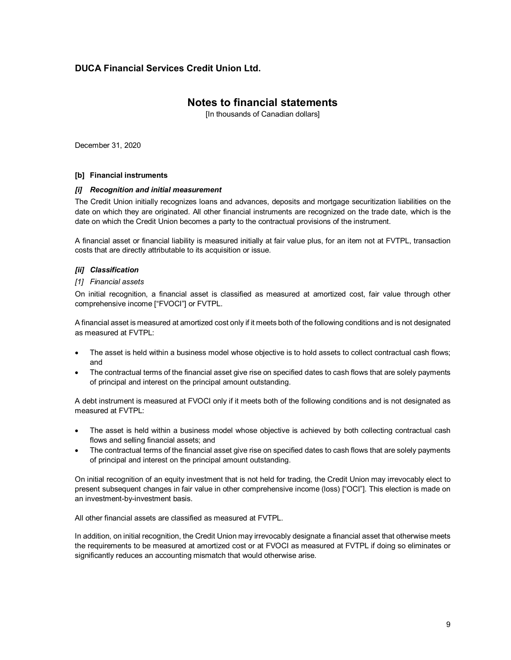# **Notes to financial statements**

[In thousands of Canadian dollars]

December 31, 2020

### **[b] Financial instruments**

#### *[i] Recognition and initial measurement*

The Credit Union initially recognizes loans and advances, deposits and mortgage securitization liabilities on the date on which they are originated. All other financial instruments are recognized on the trade date, which is the date on which the Credit Union becomes a party to the contractual provisions of the instrument.

A financial asset or financial liability is measured initially at fair value plus, for an item not at FVTPL, transaction costs that are directly attributable to its acquisition or issue.

#### *[ii] Classification*

#### *[1] Financial assets*

On initial recognition, a financial asset is classified as measured at amortized cost, fair value through other comprehensive income ["FVOCI"] or FVTPL.

A financial asset is measured at amortized cost only if it meets both of the following conditions and is not designated as measured at FVTPL:

- The asset is held within a business model whose objective is to hold assets to collect contractual cash flows; and
- The contractual terms of the financial asset give rise on specified dates to cash flows that are solely payments of principal and interest on the principal amount outstanding.

A debt instrument is measured at FVOCI only if it meets both of the following conditions and is not designated as measured at FVTPL:

- The asset is held within a business model whose objective is achieved by both collecting contractual cash flows and selling financial assets; and
- The contractual terms of the financial asset give rise on specified dates to cash flows that are solely payments of principal and interest on the principal amount outstanding.

On initial recognition of an equity investment that is not held for trading, the Credit Union may irrevocably elect to present subsequent changes in fair value in other comprehensive income (loss) ["OCI"]. This election is made on an investment-by-investment basis.

All other financial assets are classified as measured at FVTPL.

In addition, on initial recognition, the Credit Union may irrevocably designate a financial asset that otherwise meets the requirements to be measured at amortized cost or at FVOCI as measured at FVTPL if doing so eliminates or significantly reduces an accounting mismatch that would otherwise arise.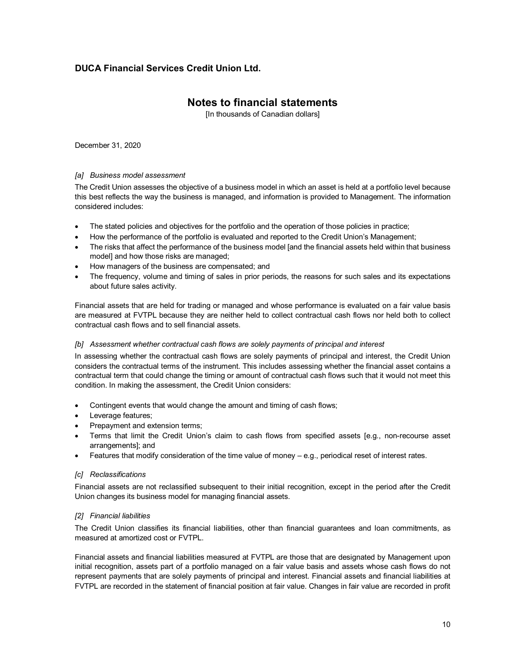# **Notes to financial statements**

[In thousands of Canadian dollars]

December 31, 2020

#### *[a] Business model assessment*

The Credit Union assesses the objective of a business model in which an asset is held at a portfolio level because this best reflects the way the business is managed, and information is provided to Management. The information considered includes:

- The stated policies and objectives for the portfolio and the operation of those policies in practice;
- How the performance of the portfolio is evaluated and reported to the Credit Union's Management;
- The risks that affect the performance of the business model [and the financial assets held within that business model] and how those risks are managed;
- How managers of the business are compensated; and
- The frequency, volume and timing of sales in prior periods, the reasons for such sales and its expectations about future sales activity.

Financial assets that are held for trading or managed and whose performance is evaluated on a fair value basis are measured at FVTPL because they are neither held to collect contractual cash flows nor held both to collect contractual cash flows and to sell financial assets.

### *[b] Assessment whether contractual cash flows are solely payments of principal and interest*

In assessing whether the contractual cash flows are solely payments of principal and interest, the Credit Union considers the contractual terms of the instrument. This includes assessing whether the financial asset contains a contractual term that could change the timing or amount of contractual cash flows such that it would not meet this condition. In making the assessment, the Credit Union considers:

- Contingent events that would change the amount and timing of cash flows;
- Leverage features;
- Prepayment and extension terms;
- Terms that limit the Credit Union's claim to cash flows from specified assets [e.g., non-recourse asset arrangements]; and
- Features that modify consideration of the time value of money e.g., periodical reset of interest rates.

#### *[c] Reclassifications*

Financial assets are not reclassified subsequent to their initial recognition, except in the period after the Credit Union changes its business model for managing financial assets.

### *[2] Financial liabilities*

The Credit Union classifies its financial liabilities, other than financial guarantees and loan commitments, as measured at amortized cost or FVTPL.

Financial assets and financial liabilities measured at FVTPL are those that are designated by Management upon initial recognition, assets part of a portfolio managed on a fair value basis and assets whose cash flows do not represent payments that are solely payments of principal and interest. Financial assets and financial liabilities at FVTPL are recorded in the statement of financial position at fair value. Changes in fair value are recorded in profit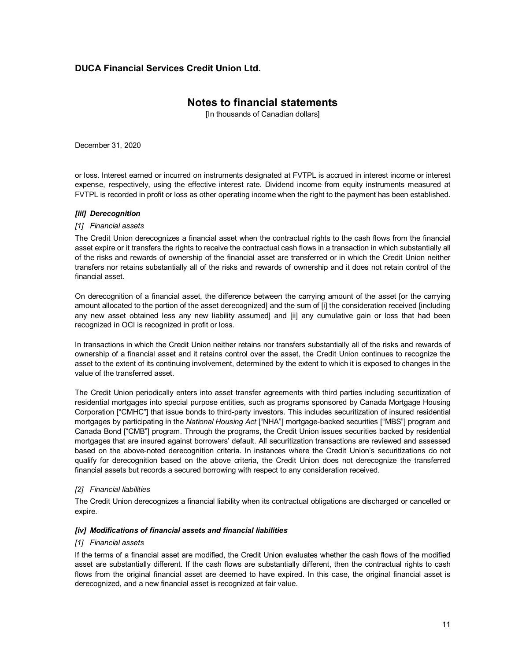### **Notes to financial statements**

[In thousands of Canadian dollars]

December 31, 2020

or loss. Interest earned or incurred on instruments designated at FVTPL is accrued in interest income or interest expense, respectively, using the effective interest rate. Dividend income from equity instruments measured at FVTPL is recorded in profit or loss as other operating income when the right to the payment has been established.

#### *[iii] Derecognition*

#### *[1] Financial assets*

The Credit Union derecognizes a financial asset when the contractual rights to the cash flows from the financial asset expire or it transfers the rights to receive the contractual cash flows in a transaction in which substantially all of the risks and rewards of ownership of the financial asset are transferred or in which the Credit Union neither transfers nor retains substantially all of the risks and rewards of ownership and it does not retain control of the financial asset.

On derecognition of a financial asset, the difference between the carrying amount of the asset [or the carrying amount allocated to the portion of the asset derecognized] and the sum of [i] the consideration received [including any new asset obtained less any new liability assumed] and [ii] any cumulative gain or loss that had been recognized in OCI is recognized in profit or loss.

In transactions in which the Credit Union neither retains nor transfers substantially all of the risks and rewards of ownership of a financial asset and it retains control over the asset, the Credit Union continues to recognize the asset to the extent of its continuing involvement, determined by the extent to which it is exposed to changes in the value of the transferred asset.

The Credit Union periodically enters into asset transfer agreements with third parties including securitization of residential mortgages into special purpose entities, such as programs sponsored by Canada Mortgage Housing Corporation ["CMHC"] that issue bonds to third-party investors. This includes securitization of insured residential mortgages by participating in the *National Housing Act* ["NHA"] mortgage-backed securities ["MBS"] program and Canada Bond ["CMB"] program. Through the programs, the Credit Union issues securities backed by residential mortgages that are insured against borrowers' default. All securitization transactions are reviewed and assessed based on the above-noted derecognition criteria. In instances where the Credit Union's securitizations do not qualify for derecognition based on the above criteria, the Credit Union does not derecognize the transferred financial assets but records a secured borrowing with respect to any consideration received.

#### *[2] Financial liabilities*

The Credit Union derecognizes a financial liability when its contractual obligations are discharged or cancelled or expire.

#### *[iv] Modifications of financial assets and financial liabilities*

#### *[1] Financial assets*

If the terms of a financial asset are modified, the Credit Union evaluates whether the cash flows of the modified asset are substantially different. If the cash flows are substantially different, then the contractual rights to cash flows from the original financial asset are deemed to have expired. In this case, the original financial asset is derecognized, and a new financial asset is recognized at fair value.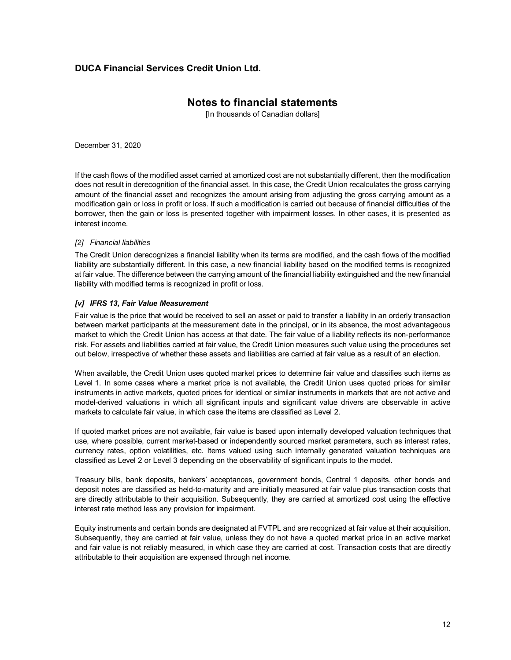# **Notes to financial statements**

[In thousands of Canadian dollars]

December 31, 2020

If the cash flows of the modified asset carried at amortized cost are not substantially different, then the modification does not result in derecognition of the financial asset. In this case, the Credit Union recalculates the gross carrying amount of the financial asset and recognizes the amount arising from adjusting the gross carrying amount as a modification gain or loss in profit or loss. If such a modification is carried out because of financial difficulties of the borrower, then the gain or loss is presented together with impairment losses. In other cases, it is presented as interest income.

### *[2] Financial liabilities*

The Credit Union derecognizes a financial liability when its terms are modified, and the cash flows of the modified liability are substantially different. In this case, a new financial liability based on the modified terms is recognized at fair value. The difference between the carrying amount of the financial liability extinguished and the new financial liability with modified terms is recognized in profit or loss.

### *[v] IFRS 13, Fair Value Measurement*

Fair value is the price that would be received to sell an asset or paid to transfer a liability in an orderly transaction between market participants at the measurement date in the principal, or in its absence, the most advantageous market to which the Credit Union has access at that date. The fair value of a liability reflects its non-performance risk. For assets and liabilities carried at fair value, the Credit Union measures such value using the procedures set out below, irrespective of whether these assets and liabilities are carried at fair value as a result of an election.

When available, the Credit Union uses quoted market prices to determine fair value and classifies such items as Level 1. In some cases where a market price is not available, the Credit Union uses quoted prices for similar instruments in active markets, quoted prices for identical or similar instruments in markets that are not active and model-derived valuations in which all significant inputs and significant value drivers are observable in active markets to calculate fair value, in which case the items are classified as Level 2.

If quoted market prices are not available, fair value is based upon internally developed valuation techniques that use, where possible, current market-based or independently sourced market parameters, such as interest rates, currency rates, option volatilities, etc. Items valued using such internally generated valuation techniques are classified as Level 2 or Level 3 depending on the observability of significant inputs to the model.

Treasury bills, bank deposits, bankers' acceptances, government bonds, Central 1 deposits, other bonds and deposit notes are classified as held-to-maturity and are initially measured at fair value plus transaction costs that are directly attributable to their acquisition. Subsequently, they are carried at amortized cost using the effective interest rate method less any provision for impairment.

Equity instruments and certain bonds are designated at FVTPL and are recognized at fair value at their acquisition. Subsequently, they are carried at fair value, unless they do not have a quoted market price in an active market and fair value is not reliably measured, in which case they are carried at cost. Transaction costs that are directly attributable to their acquisition are expensed through net income.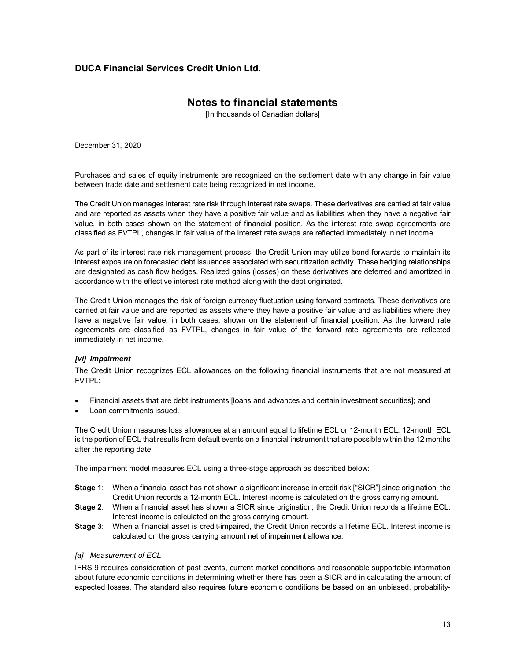# **Notes to financial statements**

[In thousands of Canadian dollars]

December 31, 2020

Purchases and sales of equity instruments are recognized on the settlement date with any change in fair value between trade date and settlement date being recognized in net income.

The Credit Union manages interest rate risk through interest rate swaps. These derivatives are carried at fair value and are reported as assets when they have a positive fair value and as liabilities when they have a negative fair value, in both cases shown on the statement of financial position. As the interest rate swap agreements are classified as FVTPL, changes in fair value of the interest rate swaps are reflected immediately in net income.

As part of its interest rate risk management process, the Credit Union may utilize bond forwards to maintain its interest exposure on forecasted debt issuances associated with securitization activity. These hedging relationships are designated as cash flow hedges. Realized gains (losses) on these derivatives are deferred and amortized in accordance with the effective interest rate method along with the debt originated.

The Credit Union manages the risk of foreign currency fluctuation using forward contracts. These derivatives are carried at fair value and are reported as assets where they have a positive fair value and as liabilities where they have a negative fair value, in both cases, shown on the statement of financial position. As the forward rate agreements are classified as FVTPL, changes in fair value of the forward rate agreements are reflected immediately in net income.

### *[vi] Impairment*

The Credit Union recognizes ECL allowances on the following financial instruments that are not measured at FVTPL:

- Financial assets that are debt instruments [loans and advances and certain investment securities]; and
- Loan commitments issued.

The Credit Union measures loss allowances at an amount equal to lifetime ECL or 12-month ECL. 12-month ECL is the portion of ECL that results from default events on a financial instrument that are possible within the 12 months after the reporting date.

The impairment model measures ECL using a three-stage approach as described below:

- **Stage 1**: When a financial asset has not shown a significant increase in credit risk ["SICR"] since origination, the Credit Union records a 12-month ECL. Interest income is calculated on the gross carrying amount.
- **Stage 2**: When a financial asset has shown a SICR since origination, the Credit Union records a lifetime ECL. Interest income is calculated on the gross carrying amount.
- **Stage 3**: When a financial asset is credit-impaired, the Credit Union records a lifetime ECL. Interest income is calculated on the gross carrying amount net of impairment allowance.

#### *[a] Measurement of ECL*

IFRS 9 requires consideration of past events, current market conditions and reasonable supportable information about future economic conditions in determining whether there has been a SICR and in calculating the amount of expected losses. The standard also requires future economic conditions be based on an unbiased, probability-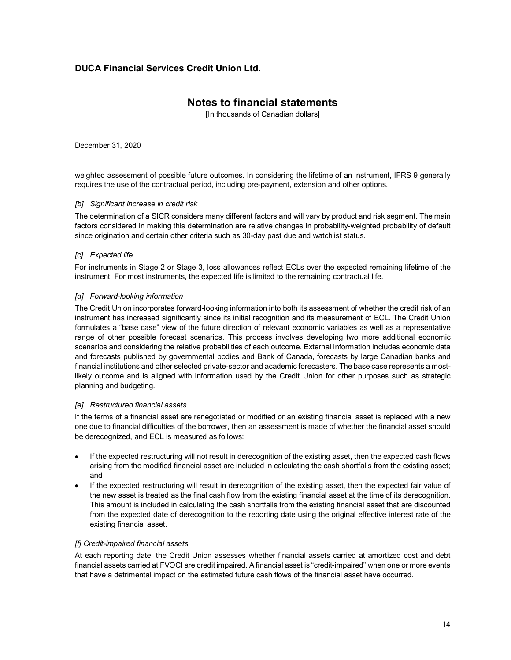# **Notes to financial statements**

[In thousands of Canadian dollars]

December 31, 2020

weighted assessment of possible future outcomes. In considering the lifetime of an instrument, IFRS 9 generally requires the use of the contractual period, including pre-payment, extension and other options.

### *[b] Significant increase in credit risk*

The determination of a SICR considers many different factors and will vary by product and risk segment. The main factors considered in making this determination are relative changes in probability-weighted probability of default since origination and certain other criteria such as 30-day past due and watchlist status.

### *[c] Expected life*

For instruments in Stage 2 or Stage 3, loss allowances reflect ECLs over the expected remaining lifetime of the instrument. For most instruments, the expected life is limited to the remaining contractual life.

### *[d] Forward-looking information*

The Credit Union incorporates forward-looking information into both its assessment of whether the credit risk of an instrument has increased significantly since its initial recognition and its measurement of ECL. The Credit Union formulates a "base case" view of the future direction of relevant economic variables as well as a representative range of other possible forecast scenarios. This process involves developing two more additional economic scenarios and considering the relative probabilities of each outcome. External information includes economic data and forecasts published by governmental bodies and Bank of Canada, forecasts by large Canadian banks and financial institutions and other selected private-sector and academic forecasters. The base case represents a mostlikely outcome and is aligned with information used by the Credit Union for other purposes such as strategic planning and budgeting.

### *[e] Restructured financial assets*

If the terms of a financial asset are renegotiated or modified or an existing financial asset is replaced with a new one due to financial difficulties of the borrower, then an assessment is made of whether the financial asset should be derecognized, and ECL is measured as follows:

- If the expected restructuring will not result in derecognition of the existing asset, then the expected cash flows arising from the modified financial asset are included in calculating the cash shortfalls from the existing asset; and
- If the expected restructuring will result in derecognition of the existing asset, then the expected fair value of the new asset is treated as the final cash flow from the existing financial asset at the time of its derecognition. This amount is included in calculating the cash shortfalls from the existing financial asset that are discounted from the expected date of derecognition to the reporting date using the original effective interest rate of the existing financial asset.

### *[f] Credit-impaired financial assets*

At each reporting date, the Credit Union assesses whether financial assets carried at amortized cost and debt financial assets carried at FVOCI are credit impaired. A financial asset is "credit-impaired" when one or more events that have a detrimental impact on the estimated future cash flows of the financial asset have occurred.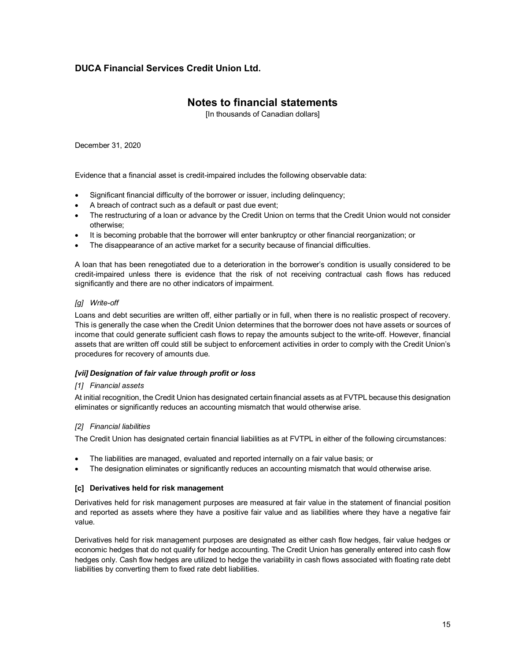# **Notes to financial statements**

[In thousands of Canadian dollars]

December 31, 2020

Evidence that a financial asset is credit-impaired includes the following observable data:

- Significant financial difficulty of the borrower or issuer, including delinquency;
- A breach of contract such as a default or past due event;
- The restructuring of a loan or advance by the Credit Union on terms that the Credit Union would not consider otherwise;
- It is becoming probable that the borrower will enter bankruptcy or other financial reorganization; or
- The disappearance of an active market for a security because of financial difficulties.

A loan that has been renegotiated due to a deterioration in the borrower's condition is usually considered to be credit-impaired unless there is evidence that the risk of not receiving contractual cash flows has reduced significantly and there are no other indicators of impairment.

### *[g] Write-off*

Loans and debt securities are written off, either partially or in full, when there is no realistic prospect of recovery. This is generally the case when the Credit Union determines that the borrower does not have assets or sources of income that could generate sufficient cash flows to repay the amounts subject to the write-off. However, financial assets that are written off could still be subject to enforcement activities in order to comply with the Credit Union's procedures for recovery of amounts due.

### *[vii] Designation of fair value through profit or loss*

### *[1] Financial assets*

At initial recognition, the Credit Union has designated certain financial assets as at FVTPL because this designation eliminates or significantly reduces an accounting mismatch that would otherwise arise.

### *[2] Financial liabilities*

The Credit Union has designated certain financial liabilities as at FVTPL in either of the following circumstances:

- The liabilities are managed, evaluated and reported internally on a fair value basis; or
- The designation eliminates or significantly reduces an accounting mismatch that would otherwise arise.

#### **[c] Derivatives held for risk management**

Derivatives held for risk management purposes are measured at fair value in the statement of financial position and reported as assets where they have a positive fair value and as liabilities where they have a negative fair value.

Derivatives held for risk management purposes are designated as either cash flow hedges, fair value hedges or economic hedges that do not qualify for hedge accounting. The Credit Union has generally entered into cash flow hedges only. Cash flow hedges are utilized to hedge the variability in cash flows associated with floating rate debt liabilities by converting them to fixed rate debt liabilities.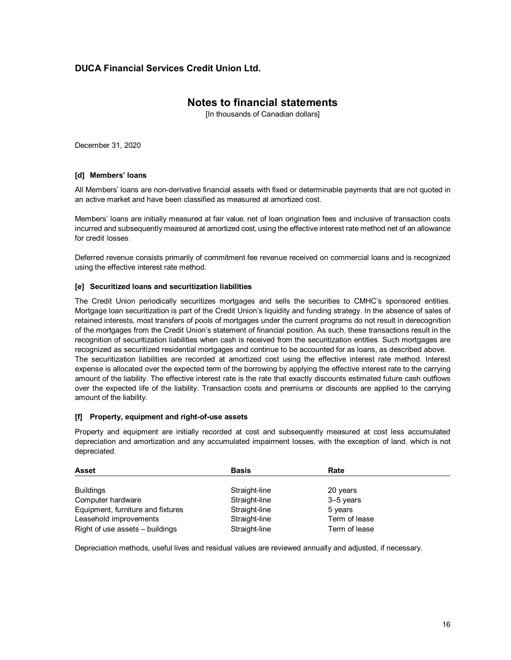# **Notes to financial statements**

[In thousands of Canadian dollars]

December 31, 2020

#### **[d] Members' loans**

All Members' loans are non-derivative financial assets with fixed or determinable payments that are not quoted in an active market and have been classified as measured at amortized cost.

Members' loans are initially measured at fair value, net of loan origination fees and inclusive of transaction costs incurred and subsequently measured at amortized cost, using the effective interest rate method net of an allowance for credit losses.

Deferred revenue consists primarily of commitment fee revenue received on commercial loans and is recognized using the effective interest rate method.

### **[e] Securitized loans and securitization liabilities**

The Credit Union periodically securitizes mortgages and sells the securities to CMHC's sponsored entities. Mortgage loan securitization is part of the Credit Union's liquidity and funding strategy. In the absence of sales of retained interests, most transfers of pools of mortgages under the current programs do not result in derecognition of the mortgages from the Credit Union's statement of financial position. As such, these transactions result in the recognition of securitization liabilities when cash is received from the securitization entities. Such mortgages are recognized as securitized residential mortgages and continue to be accounted for as loans, as described above. The securitization liabilities are recorded at amortized cost using the effective interest rate method. Interest expense is allocated over the expected term of the borrowing by applying the effective interest rate to the carrying amount of the liability. The effective interest rate is the rate that exactly discounts estimated future cash outflows over the expected life of the liability. Transaction costs and premiums or discounts are applied to the carrying amount of the liability.

#### **[f] Property, equipment and right-of-use assets**

Property and equipment are initially recorded at cost and subsequently measured at cost less accumulated depreciation and amortization and any accumulated impairment losses, with the exception of land, which is not depreciated.

| <b>Asset</b>                      | <b>Basis</b>  | Rate          |  |
|-----------------------------------|---------------|---------------|--|
|                                   |               |               |  |
| <b>Buildings</b>                  | Straight-line | 20 years      |  |
| Computer hardware                 | Straight-line | 3-5 years     |  |
| Equipment, furniture and fixtures | Straight-line | 5 years       |  |
| Leasehold improvements            | Straight-line | Term of lease |  |
| Right of use assets - buildings   | Straight-line | Term of lease |  |

Depreciation methods, useful lives and residual values are reviewed annually and adjusted, if necessary.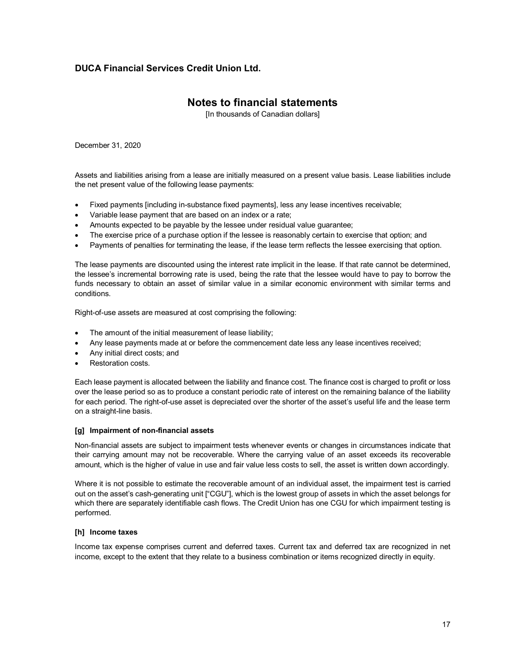# **Notes to financial statements**

[In thousands of Canadian dollars]

December 31, 2020

Assets and liabilities arising from a lease are initially measured on a present value basis. Lease liabilities include the net present value of the following lease payments:

- Fixed payments [including in-substance fixed payments], less any lease incentives receivable;
- Variable lease payment that are based on an index or a rate;
- Amounts expected to be payable by the lessee under residual value guarantee;
- The exercise price of a purchase option if the lessee is reasonably certain to exercise that option; and
- Payments of penalties for terminating the lease, if the lease term reflects the lessee exercising that option.

The lease payments are discounted using the interest rate implicit in the lease. If that rate cannot be determined, the lessee's incremental borrowing rate is used, being the rate that the lessee would have to pay to borrow the funds necessary to obtain an asset of similar value in a similar economic environment with similar terms and conditions.

Right-of-use assets are measured at cost comprising the following:

- The amount of the initial measurement of lease liability;
- Any lease payments made at or before the commencement date less any lease incentives received;
- Any initial direct costs; and
- Restoration costs.

Each lease payment is allocated between the liability and finance cost. The finance cost is charged to profit or loss over the lease period so as to produce a constant periodic rate of interest on the remaining balance of the liability for each period. The right-of-use asset is depreciated over the shorter of the asset's useful life and the lease term on a straight-line basis.

#### **[g] Impairment of non-financial assets**

Non-financial assets are subject to impairment tests whenever events or changes in circumstances indicate that their carrying amount may not be recoverable. Where the carrying value of an asset exceeds its recoverable amount, which is the higher of value in use and fair value less costs to sell, the asset is written down accordingly.

Where it is not possible to estimate the recoverable amount of an individual asset, the impairment test is carried out on the asset's cash-generating unit ["CGU"], which is the lowest group of assets in which the asset belongs for which there are separately identifiable cash flows. The Credit Union has one CGU for which impairment testing is performed.

### **[h] Income taxes**

Income tax expense comprises current and deferred taxes. Current tax and deferred tax are recognized in net income, except to the extent that they relate to a business combination or items recognized directly in equity.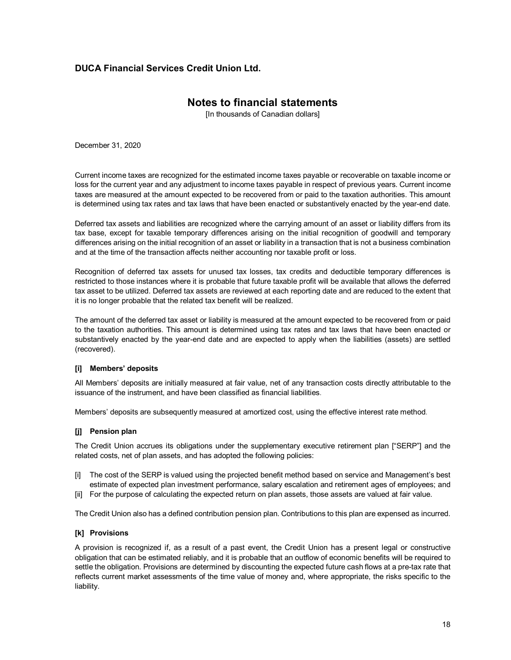# **Notes to financial statements**

[In thousands of Canadian dollars]

December 31, 2020

Current income taxes are recognized for the estimated income taxes payable or recoverable on taxable income or loss for the current year and any adjustment to income taxes payable in respect of previous years. Current income taxes are measured at the amount expected to be recovered from or paid to the taxation authorities. This amount is determined using tax rates and tax laws that have been enacted or substantively enacted by the year-end date.

Deferred tax assets and liabilities are recognized where the carrying amount of an asset or liability differs from its tax base, except for taxable temporary differences arising on the initial recognition of goodwill and temporary differences arising on the initial recognition of an asset or liability in a transaction that is not a business combination and at the time of the transaction affects neither accounting nor taxable profit or loss.

Recognition of deferred tax assets for unused tax losses, tax credits and deductible temporary differences is restricted to those instances where it is probable that future taxable profit will be available that allows the deferred tax asset to be utilized. Deferred tax assets are reviewed at each reporting date and are reduced to the extent that it is no longer probable that the related tax benefit will be realized.

The amount of the deferred tax asset or liability is measured at the amount expected to be recovered from or paid to the taxation authorities. This amount is determined using tax rates and tax laws that have been enacted or substantively enacted by the year-end date and are expected to apply when the liabilities (assets) are settled (recovered).

### **[i] Members' deposits**

All Members' deposits are initially measured at fair value, net of any transaction costs directly attributable to the issuance of the instrument, and have been classified as financial liabilities.

Members' deposits are subsequently measured at amortized cost, using the effective interest rate method.

#### **[j] Pension plan**

The Credit Union accrues its obligations under the supplementary executive retirement plan ["SERP"] and the related costs, net of plan assets, and has adopted the following policies:

- [i] The cost of the SERP is valued using the projected benefit method based on service and Management's best estimate of expected plan investment performance, salary escalation and retirement ages of employees; and
- [ii] For the purpose of calculating the expected return on plan assets, those assets are valued at fair value.

The Credit Union also has a defined contribution pension plan. Contributions to this plan are expensed as incurred.

#### **[k] Provisions**

A provision is recognized if, as a result of a past event, the Credit Union has a present legal or constructive obligation that can be estimated reliably, and it is probable that an outflow of economic benefits will be required to settle the obligation. Provisions are determined by discounting the expected future cash flows at a pre-tax rate that reflects current market assessments of the time value of money and, where appropriate, the risks specific to the liability.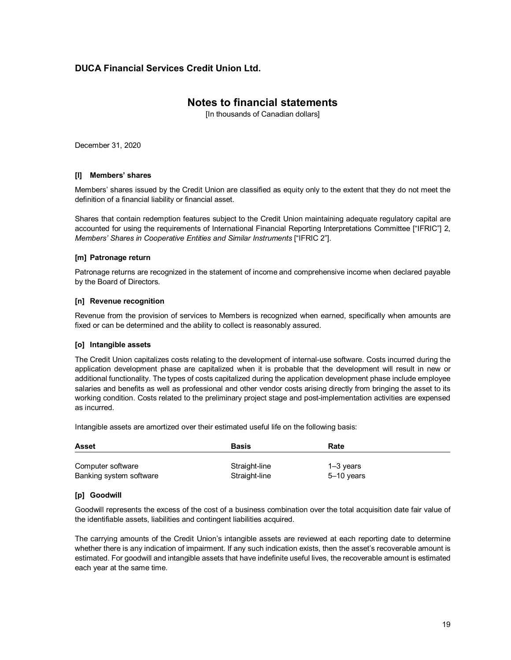# **Notes to financial statements**

[In thousands of Canadian dollars]

December 31, 2020

#### **[l] Members' shares**

Members' shares issued by the Credit Union are classified as equity only to the extent that they do not meet the definition of a financial liability or financial asset.

Shares that contain redemption features subject to the Credit Union maintaining adequate regulatory capital are accounted for using the requirements of International Financial Reporting Interpretations Committee ["IFRIC"] 2, *Members' Shares in Cooperative Entities and Similar Instruments* ["IFRIC 2"].

#### **[m] Patronage return**

Patronage returns are recognized in the statement of income and comprehensive income when declared payable by the Board of Directors.

#### **[n] Revenue recognition**

Revenue from the provision of services to Members is recognized when earned, specifically when amounts are fixed or can be determined and the ability to collect is reasonably assured.

#### **[o] Intangible assets**

The Credit Union capitalizes costs relating to the development of internal-use software. Costs incurred during the application development phase are capitalized when it is probable that the development will result in new or additional functionality. The types of costs capitalized during the application development phase include employee salaries and benefits as well as professional and other vendor costs arising directly from bringing the asset to its working condition. Costs related to the preliminary project stage and post-implementation activities are expensed as incurred.

Intangible assets are amortized over their estimated useful life on the following basis:

| Asset                   | <b>Basis</b>  | Rate          |  |
|-------------------------|---------------|---------------|--|
| Computer software       | Straight-line | $1 - 3$ years |  |
| Banking system software | Straight-line | 5–10 years    |  |

#### **[p] Goodwill**

Goodwill represents the excess of the cost of a business combination over the total acquisition date fair value of the identifiable assets, liabilities and contingent liabilities acquired.

The carrying amounts of the Credit Union's intangible assets are reviewed at each reporting date to determine whether there is any indication of impairment. If any such indication exists, then the asset's recoverable amount is estimated. For goodwill and intangible assets that have indefinite useful lives, the recoverable amount is estimated each year at the same time.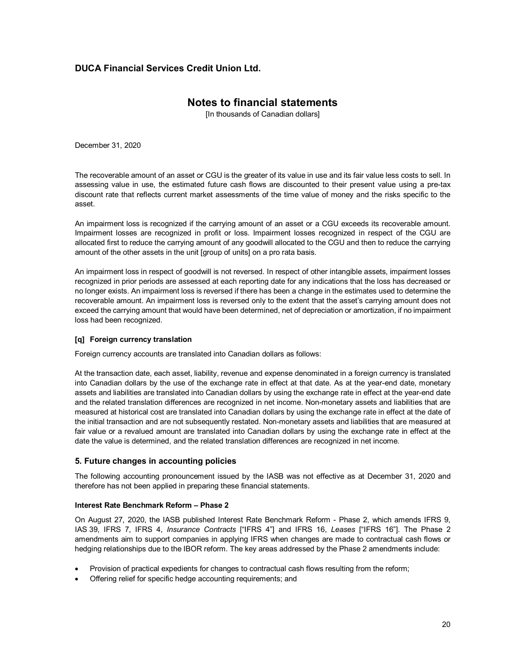# **Notes to financial statements**

[In thousands of Canadian dollars]

December 31, 2020

The recoverable amount of an asset or CGU is the greater of its value in use and its fair value less costs to sell. In assessing value in use, the estimated future cash flows are discounted to their present value using a pre-tax discount rate that reflects current market assessments of the time value of money and the risks specific to the asset.

An impairment loss is recognized if the carrying amount of an asset or a CGU exceeds its recoverable amount. Impairment losses are recognized in profit or loss. Impairment losses recognized in respect of the CGU are allocated first to reduce the carrying amount of any goodwill allocated to the CGU and then to reduce the carrying amount of the other assets in the unit [group of units] on a pro rata basis.

An impairment loss in respect of goodwill is not reversed. In respect of other intangible assets, impairment losses recognized in prior periods are assessed at each reporting date for any indications that the loss has decreased or no longer exists. An impairment loss is reversed if there has been a change in the estimates used to determine the recoverable amount. An impairment loss is reversed only to the extent that the asset's carrying amount does not exceed the carrying amount that would have been determined, net of depreciation or amortization, if no impairment loss had been recognized.

### **[q] Foreign currency translation**

Foreign currency accounts are translated into Canadian dollars as follows:

At the transaction date, each asset, liability, revenue and expense denominated in a foreign currency is translated into Canadian dollars by the use of the exchange rate in effect at that date. As at the year-end date, monetary assets and liabilities are translated into Canadian dollars by using the exchange rate in effect at the year-end date and the related translation differences are recognized in net income. Non-monetary assets and liabilities that are measured at historical cost are translated into Canadian dollars by using the exchange rate in effect at the date of the initial transaction and are not subsequently restated. Non-monetary assets and liabilities that are measured at fair value or a revalued amount are translated into Canadian dollars by using the exchange rate in effect at the date the value is determined, and the related translation differences are recognized in net income.

### **5. Future changes in accounting policies**

The following accounting pronouncement issued by the IASB was not effective as at December 31, 2020 and therefore has not been applied in preparing these financial statements.

### **Interest Rate Benchmark Reform – Phase 2**

On August 27, 2020, the IASB published Interest Rate Benchmark Reform - Phase 2, which amends IFRS 9, IAS 39, IFRS 7, IFRS 4, *Insurance Contracts* ["IFRS 4"] and IFRS 16, *Leases* ["IFRS 16"]. The Phase 2 amendments aim to support companies in applying IFRS when changes are made to contractual cash flows or hedging relationships due to the IBOR reform. The key areas addressed by the Phase 2 amendments include:

- Provision of practical expedients for changes to contractual cash flows resulting from the reform;
- Offering relief for specific hedge accounting requirements; and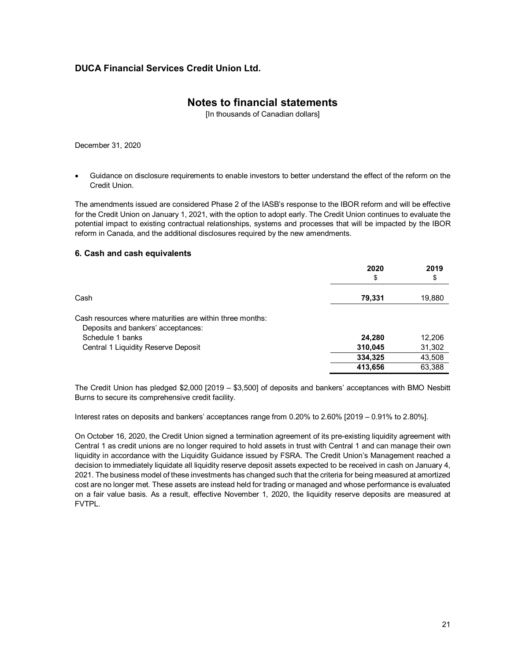### **Notes to financial statements**

[In thousands of Canadian dollars]

December 31, 2020

• Guidance on disclosure requirements to enable investors to better understand the effect of the reform on the Credit Union.

The amendments issued are considered Phase 2 of the IASB's response to the IBOR reform and will be effective for the Credit Union on January 1, 2021, with the option to adopt early. The Credit Union continues to evaluate the potential impact to existing contractual relationships, systems and processes that will be impacted by the IBOR reform in Canada, and the additional disclosures required by the new amendments.

#### **6. Cash and cash equivalents**

|                                                          | 2020    | 2019   |
|----------------------------------------------------------|---------|--------|
|                                                          | \$      | \$     |
| Cash                                                     | 79.331  | 19,880 |
| Cash resources where maturities are within three months: |         |        |
| Deposits and bankers' acceptances:                       |         |        |
| Schedule 1 banks                                         | 24,280  | 12,206 |
| Central 1 Liquidity Reserve Deposit                      | 310,045 | 31,302 |
|                                                          | 334,325 | 43,508 |
|                                                          | 413,656 | 63,388 |

The Credit Union has pledged \$2,000 [2019 – \$3,500] of deposits and bankers' acceptances with BMO Nesbitt Burns to secure its comprehensive credit facility.

Interest rates on deposits and bankers' acceptances range from 0.20% to 2.60% [2019 – 0.91% to 2.80%].

On October 16, 2020, the Credit Union signed a termination agreement of its pre-existing liquidity agreement with Central 1 as credit unions are no longer required to hold assets in trust with Central 1 and can manage their own liquidity in accordance with the Liquidity Guidance issued by FSRA. The Credit Union's Management reached a decision to immediately liquidate all liquidity reserve deposit assets expected to be received in cash on January 4, 2021. The business model of these investments has changed such that the criteria for being measured at amortized cost are no longer met. These assets are instead held for trading or managed and whose performance is evaluated on a fair value basis. As a result, effective November 1, 2020, the liquidity reserve deposits are measured at FVTPL.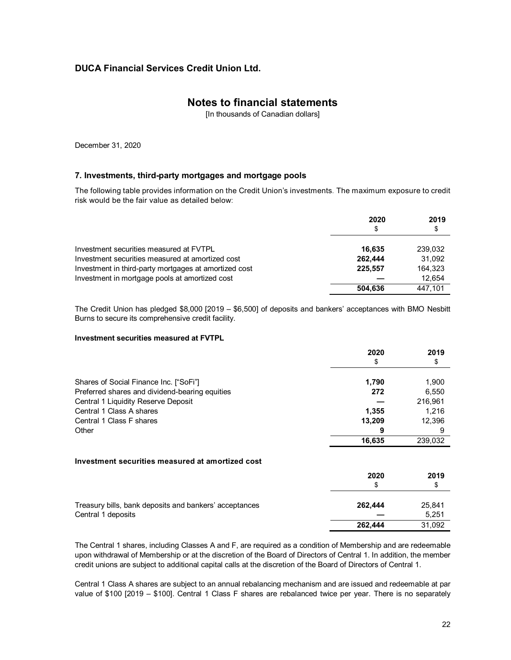### **Notes to financial statements**

[In thousands of Canadian dollars]

December 31, 2020

#### **7. Investments, third-party mortgages and mortgage pools**

The following table provides information on the Credit Union's investments. The maximum exposure to credit risk would be the fair value as detailed below:

|                                                       | 2020<br>\$ | 2019<br>\$ |
|-------------------------------------------------------|------------|------------|
| Investment securities measured at FVTPL               | 16.635     | 239.032    |
| Investment securities measured at amortized cost      | 262.444    | 31.092     |
| Investment in third-party mortgages at amortized cost | 225.557    | 164.323    |
| Investment in mortgage pools at amortized cost        |            | 12,654     |
|                                                       | 504.636    | 447.101    |

The Credit Union has pledged \$8,000 [2019 – \$6,500] of deposits and bankers' acceptances with BMO Nesbitt Burns to secure its comprehensive credit facility.

#### **Investment securities measured at FVTPL**

|                                                  | 2020   | 2019    |
|--------------------------------------------------|--------|---------|
|                                                  | \$     | \$      |
| Shares of Social Finance Inc. ["SoFi"]           | 1,790  | 1,900   |
| Preferred shares and dividend-bearing equities   | 272    | 6,550   |
| Central 1 Liquidity Reserve Deposit              |        | 216,961 |
| Central 1 Class A shares                         | 1,355  | 1,216   |
| Central 1 Class F shares                         | 13.209 | 12.396  |
| Other                                            | 9      | 9       |
|                                                  | 16,635 | 239,032 |
| Investment securities measured at amortized cost |        |         |

|                                                        | 2020<br>S | 2019<br>S |
|--------------------------------------------------------|-----------|-----------|
| Treasury bills, bank deposits and bankers' acceptances | 262,444   | 25.841    |
| Central 1 deposits                                     |           | 5,251     |
|                                                        | 262.444   | 31.092    |

The Central 1 shares, including Classes A and F, are required as a condition of Membership and are redeemable upon withdrawal of Membership or at the discretion of the Board of Directors of Central 1. In addition, the member credit unions are subject to additional capital calls at the discretion of the Board of Directors of Central 1.

Central 1 Class A shares are subject to an annual rebalancing mechanism and are issued and redeemable at par value of \$100 [2019 – \$100]. Central 1 Class F shares are rebalanced twice per year. There is no separately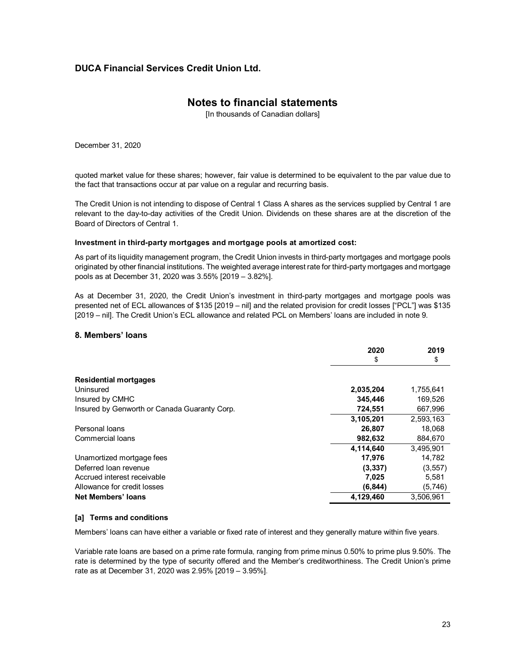### **Notes to financial statements**

[In thousands of Canadian dollars]

December 31, 2020

quoted market value for these shares; however, fair value is determined to be equivalent to the par value due to the fact that transactions occur at par value on a regular and recurring basis.

The Credit Union is not intending to dispose of Central 1 Class A shares as the services supplied by Central 1 are relevant to the day-to-day activities of the Credit Union. Dividends on these shares are at the discretion of the Board of Directors of Central 1.

#### **Investment in third-party mortgages and mortgage pools at amortized cost:**

As part of its liquidity management program, the Credit Union invests in third-party mortgages and mortgage pools originated by other financial institutions. The weighted average interest rate for third-party mortgages and mortgage pools as at December 31, 2020 was 3.55% [2019 – 3.82%].

As at December 31, 2020, the Credit Union's investment in third-party mortgages and mortgage pools was presented net of ECL allowances of \$135 [2019 – nil] and the related provision for credit losses ["PCL"] was \$135 [2019 – nil]. The Credit Union's ECL allowance and related PCL on Members' loans are included in note 9.

### **8. Members' loans**

|                                              | 2020<br>\$ | 2019<br>\$ |
|----------------------------------------------|------------|------------|
| <b>Residential mortgages</b>                 |            |            |
| Uninsured                                    | 2,035,204  | 1,755,641  |
| Insured by CMHC                              | 345,446    | 169.526    |
| Insured by Genworth or Canada Guaranty Corp. | 724,551    | 667,996    |
|                                              | 3,105,201  | 2,593,163  |
| Personal loans                               | 26.807     | 18.068     |
| Commercial loans                             | 982,632    | 884,670    |
|                                              | 4,114,640  | 3,495,901  |
| Unamortized mortgage fees                    | 17,976     | 14.782     |
| Deferred loan revenue                        | (3,337)    | (3, 557)   |
| Accrued interest receivable                  | 7,025      | 5,581      |
| Allowance for credit losses                  | (6, 844)   | (5,746)    |
| Net Members' loans                           | 4,129,460  | 3.506.961  |

### **[a] Terms and conditions**

Members' loans can have either a variable or fixed rate of interest and they generally mature within five years.

Variable rate loans are based on a prime rate formula, ranging from prime minus 0.50% to prime plus 9.50%. The rate is determined by the type of security offered and the Member's creditworthiness. The Credit Union's prime rate as at December 31, 2020 was 2.95% [2019 – 3.95%].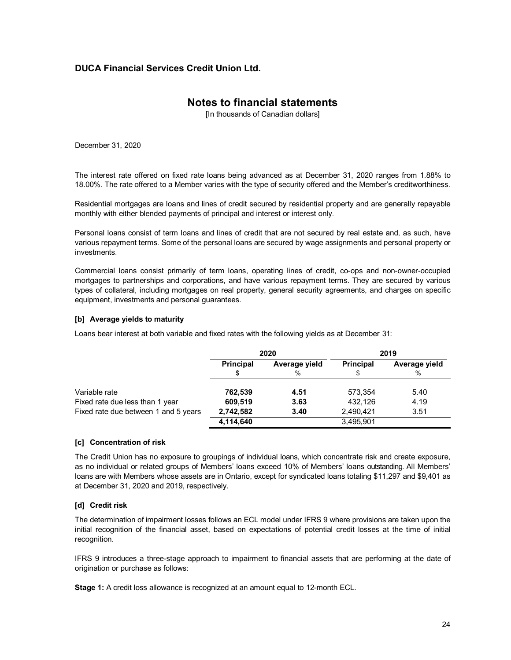### **Notes to financial statements**

[In thousands of Canadian dollars]

December 31, 2020

The interest rate offered on fixed rate loans being advanced as at December 31, 2020 ranges from 1.88% to 18.00%. The rate offered to a Member varies with the type of security offered and the Member's creditworthiness.

Residential mortgages are loans and lines of credit secured by residential property and are generally repayable monthly with either blended payments of principal and interest or interest only.

Personal loans consist of term loans and lines of credit that are not secured by real estate and, as such, have various repayment terms. Some of the personal loans are secured by wage assignments and personal property or investments.

Commercial loans consist primarily of term loans, operating lines of credit, co-ops and non-owner-occupied mortgages to partnerships and corporations, and have various repayment terms. They are secured by various types of collateral, including mortgages on real property, general security agreements, and charges on specific equipment, investments and personal guarantees.

#### **[b] Average yields to maturity**

Loans bear interest at both variable and fixed rates with the following yields as at December 31:

|                                      | 2020             |                    |                  | 2019               |
|--------------------------------------|------------------|--------------------|------------------|--------------------|
|                                      | <b>Principal</b> | Average yield<br>% | <b>Principal</b> | Average yield<br>% |
| Variable rate                        | 762,539          | 4.51               | 573,354          | 5.40               |
| Fixed rate due less than 1 year      | 609,519          | 3.63               | 432,126          | 4.19               |
| Fixed rate due between 1 and 5 years | 2,742,582        | 3.40               | 2,490,421        | 3.51               |
|                                      | 4,114,640        |                    | 3,495,901        |                    |

#### **[c] Concentration of risk**

The Credit Union has no exposure to groupings of individual loans, which concentrate risk and create exposure, as no individual or related groups of Members' loans exceed 10% of Members' loans outstanding. All Members' loans are with Members whose assets are in Ontario, except for syndicated loans totaling \$11,297 and \$9,401 as at December 31, 2020 and 2019, respectively.

#### **[d] Credit risk**

The determination of impairment losses follows an ECL model under IFRS 9 where provisions are taken upon the initial recognition of the financial asset, based on expectations of potential credit losses at the time of initial recognition.

IFRS 9 introduces a three-stage approach to impairment to financial assets that are performing at the date of origination or purchase as follows:

**Stage 1:** A credit loss allowance is recognized at an amount equal to 12-month ECL.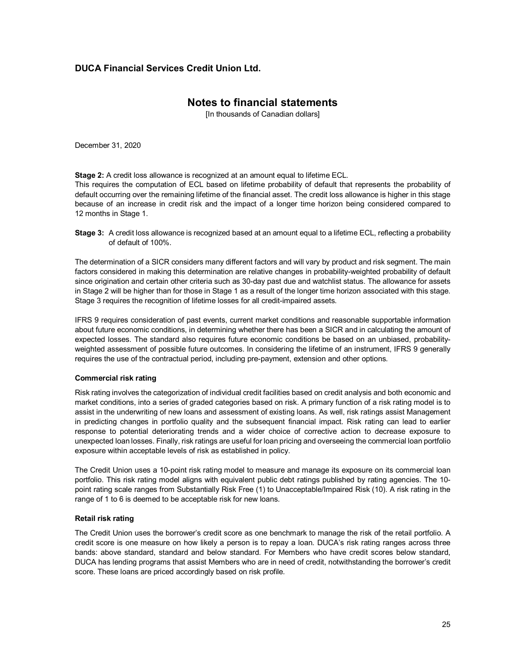### **Notes to financial statements**

[In thousands of Canadian dollars]

December 31, 2020

**Stage 2:** A credit loss allowance is recognized at an amount equal to lifetime ECL. This requires the computation of ECL based on lifetime probability of default that represents the probability of default occurring over the remaining lifetime of the financial asset. The credit loss allowance is higher in this stage because of an increase in credit risk and the impact of a longer time horizon being considered compared to 12 months in Stage 1.

**Stage 3:** A credit loss allowance is recognized based at an amount equal to a lifetime ECL, reflecting a probability of default of 100%.

The determination of a SICR considers many different factors and will vary by product and risk segment. The main factors considered in making this determination are relative changes in probability-weighted probability of default since origination and certain other criteria such as 30-day past due and watchlist status. The allowance for assets in Stage 2 will be higher than for those in Stage 1 as a result of the longer time horizon associated with this stage. Stage 3 requires the recognition of lifetime losses for all credit-impaired assets.

IFRS 9 requires consideration of past events, current market conditions and reasonable supportable information about future economic conditions, in determining whether there has been a SICR and in calculating the amount of expected losses. The standard also requires future economic conditions be based on an unbiased, probabilityweighted assessment of possible future outcomes. In considering the lifetime of an instrument, IFRS 9 generally requires the use of the contractual period, including pre-payment, extension and other options.

### **Commercial risk rating**

Risk rating involves the categorization of individual credit facilities based on credit analysis and both economic and market conditions, into a series of graded categories based on risk. A primary function of a risk rating model is to assist in the underwriting of new loans and assessment of existing loans. As well, risk ratings assist Management in predicting changes in portfolio quality and the subsequent financial impact. Risk rating can lead to earlier response to potential deteriorating trends and a wider choice of corrective action to decrease exposure to unexpected loan losses. Finally, risk ratings are useful for loan pricing and overseeing the commercial loan portfolio exposure within acceptable levels of risk as established in policy.

The Credit Union uses a 10-point risk rating model to measure and manage its exposure on its commercial loan portfolio. This risk rating model aligns with equivalent public debt ratings published by rating agencies. The 10 point rating scale ranges from Substantially Risk Free (1) to Unacceptable/Impaired Risk (10). A risk rating in the range of 1 to 6 is deemed to be acceptable risk for new loans.

#### **Retail risk rating**

The Credit Union uses the borrower's credit score as one benchmark to manage the risk of the retail portfolio. A credit score is one measure on how likely a person is to repay a loan. DUCA's risk rating ranges across three bands: above standard, standard and below standard. For Members who have credit scores below standard, DUCA has lending programs that assist Members who are in need of credit, notwithstanding the borrower's credit score. These loans are priced accordingly based on risk profile.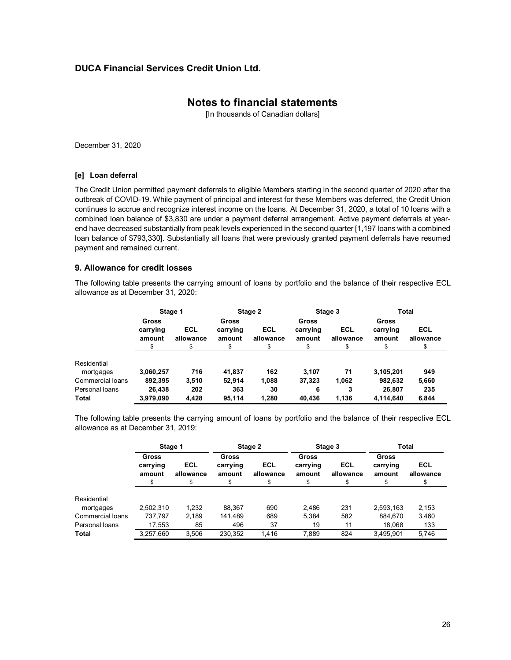### **Notes to financial statements**

[In thousands of Canadian dollars]

December 31, 2020

#### **[e] Loan deferral**

The Credit Union permitted payment deferrals to eligible Members starting in the second quarter of 2020 after the outbreak of COVID-19. While payment of principal and interest for these Members was deferred, the Credit Union continues to accrue and recognize interest income on the loans. At December 31, 2020, a total of 10 loans with a combined loan balance of \$3,830 are under a payment deferral arrangement. Active payment deferrals at yearend have decreased substantially from peak levels experienced in the second quarter [1,197 loans with a combined loan balance of \$793,330]. Substantially all loans that were previously granted payment deferrals have resumed payment and remained current.

#### **9. Allowance for credit losses**

The following table presents the carrying amount of loans by portfolio and the balance of their respective ECL allowance as at December 31, 2020:

|                  | Stage 1                     |                        | Stage 2                           |                         | Stage 3                           |                        | Total                             |                        |
|------------------|-----------------------------|------------------------|-----------------------------------|-------------------------|-----------------------------------|------------------------|-----------------------------------|------------------------|
|                  | Gross<br>carrying<br>amount | ECL<br>allowance<br>\$ | Gross<br>carrying<br>amount<br>\$ | <b>ECL</b><br>allowance | Gross<br>carrying<br>amount<br>\$ | ECL<br>allowance<br>\$ | Gross<br>carrying<br>amount<br>\$ | ECL<br>allowance<br>\$ |
| Residential      |                             |                        |                                   |                         |                                   |                        |                                   |                        |
| mortgages        | 3,060,257                   | 716                    | 41.837                            | 162                     | 3.107                             | 71                     | 3,105,201                         | 949                    |
| Commercial loans | 892,395                     | 3,510                  | 52.914                            | 1,088                   | 37,323                            | 1,062                  | 982,632                           | 5,660                  |
| Personal loans   | 26.438                      | 202                    | 363                               | 30                      | 6                                 | 3                      | 26,807                            | 235                    |
| <b>Total</b>     | 3.979.090                   | 4.428                  | 95.114                            | 1.280                   | 40.436                            | 1,136                  | 4.114.640                         | 6.844                  |

The following table presents the carrying amount of loans by portfolio and the balance of their respective ECL allowance as at December 31, 2019:

|                  | Stage 1                           |                               | Stage 2                          |                        | Stage 3                                  |                        | Total                             |                        |
|------------------|-----------------------------------|-------------------------------|----------------------------------|------------------------|------------------------------------------|------------------------|-----------------------------------|------------------------|
|                  | Gross<br>carrying<br>amount<br>\$ | <b>ECL</b><br>allowance<br>\$ | Gross<br>carrying<br>amount<br>S | ECL<br>allowance<br>\$ | <b>Gross</b><br>carrying<br>amount<br>\$ | ECL<br>allowance<br>\$ | Gross<br>carrying<br>amount<br>\$ | ECL<br>allowance<br>\$ |
| Residential      |                                   |                               |                                  |                        |                                          |                        |                                   |                        |
| mortgages        | 2,502,310                         | 1,232                         | 88,367                           | 690                    | 2.486                                    | 231                    | 2,593,163                         | 2,153                  |
| Commercial loans | 737,797                           | 2.189                         | 141.489                          | 689                    | 5.384                                    | 582                    | 884.670                           | 3.460                  |
| Personal loans   | 17,553                            | 85                            | 496                              | 37                     | 19                                       | 11                     | 18.068                            | 133                    |
| <b>Total</b>     | 3,257,660                         | 3,506                         | 230,352                          | 1.416                  | 7.889                                    | 824                    | 3.495.901                         | 5.746                  |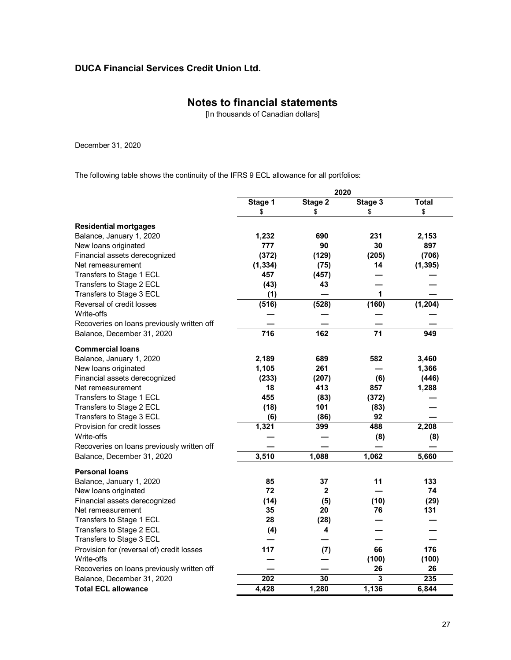# **Notes to financial statements**

[In thousands of Canadian dollars]

December 31, 2020

The following table shows the continuity of the IFRS 9 ECL allowance for all portfolios:

|                                            |          | 2020        |         |              |
|--------------------------------------------|----------|-------------|---------|--------------|
|                                            | Stage 1  | Stage 2     | Stage 3 | <b>Total</b> |
|                                            | \$       | \$          | \$      | \$           |
| <b>Residential mortgages</b>               |          |             |         |              |
| Balance, January 1, 2020                   | 1,232    | 690         | 231     | 2,153        |
| New loans originated                       | 777      | 90          | 30      | 897          |
| Financial assets derecognized              | (372)    | (129)       | (205)   | (706)        |
| Net remeasurement                          | (1, 334) | (75)        | 14      | (1, 395)     |
| Transfers to Stage 1 ECL                   | 457      | (457)       |         |              |
| Transfers to Stage 2 ECL                   | (43)     | 43          |         |              |
| Transfers to Stage 3 ECL                   | (1)      |             | 1       |              |
| Reversal of credit losses                  | (516)    | (528)       | (160)   | (1, 204)     |
| Write-offs                                 |          |             |         |              |
| Recoveries on loans previously written off |          |             |         |              |
| Balance, December 31, 2020                 | 716      | 162         | 71      | 949          |
| <b>Commercial loans</b>                    |          |             |         |              |
| Balance, January 1, 2020                   | 2,189    | 689         | 582     | 3,460        |
| New loans originated                       | 1,105    | 261         |         | 1,366        |
| Financial assets derecognized              | (233)    | (207)       | (6)     | (446)        |
| Net remeasurement                          | 18       | 413         | 857     | 1,288        |
| Transfers to Stage 1 ECL                   | 455      | (83)        | (372)   |              |
| Transfers to Stage 2 ECL                   | (18)     | 101         | (83)    |              |
| Transfers to Stage 3 ECL                   | (6)      | (86)        | 92      |              |
| Provision for credit losses                | 1,321    | 399         | 488     | 2,208        |
| Write-offs                                 |          |             | (8)     | (8)          |
| Recoveries on loans previously written off |          |             |         |              |
| Balance, December 31, 2020                 | 3,510    | 1,088       | 1,062   | 5,660        |
| <b>Personal loans</b>                      |          |             |         |              |
| Balance, January 1, 2020                   | 85       | 37          | 11      | 133          |
| New loans originated                       | 72       | $\mathbf 2$ |         | 74           |
| Financial assets derecognized              | (14)     | (5)         | (10)    | (29)         |
| Net remeasurement                          | 35       | 20          | 76      | 131          |
| Transfers to Stage 1 ECL                   | 28       | (28)        |         |              |
| Transfers to Stage 2 ECL                   | (4)      | 4           |         |              |
| Transfers to Stage 3 ECL                   |          |             |         |              |
| Provision for (reversal of) credit losses  | 117      | (7)         | 66      | 176          |
| Write-offs                                 |          |             | (100)   | (100)        |
| Recoveries on loans previously written off |          |             | 26      | 26           |
| Balance, December 31, 2020                 | 202      | 30          | 3       | 235          |
| <b>Total ECL allowance</b>                 | 4,428    | 1,280       | 1,136   | 6,844        |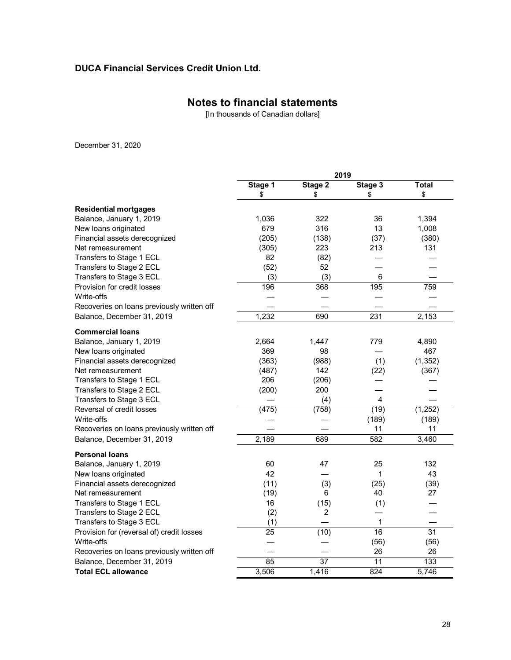# **Notes to financial statements**

[In thousands of Canadian dollars]

December 31, 2020

|                                            |         | 2019            |                 |              |
|--------------------------------------------|---------|-----------------|-----------------|--------------|
|                                            | Stage 1 | Stage 2         | Stage 3         | <b>Total</b> |
|                                            | \$      | \$              | \$              | \$           |
| <b>Residential mortgages</b>               |         |                 |                 |              |
| Balance, January 1, 2019                   | 1,036   | 322             | 36              | 1,394        |
| New loans originated                       | 679     | 316             | 13              | 1,008        |
| Financial assets derecognized              | (205)   | (138)           | (37)            | (380)        |
| Net remeasurement                          | (305)   | 223             | 213             | 131          |
| Transfers to Stage 1 ECL                   | 82      | (82)            |                 |              |
| Transfers to Stage 2 ECL                   | (52)    | 52              |                 |              |
| Transfers to Stage 3 ECL                   | (3)     | (3)             | 6               |              |
| Provision for credit losses                | 196     | 368             | 195             | 759          |
| Write-offs                                 |         |                 |                 |              |
| Recoveries on loans previously written off |         |                 |                 |              |
| Balance, December 31, 2019                 | 1,232   | 690             | 231             | 2,153        |
| <b>Commercial loans</b>                    |         |                 |                 |              |
| Balance, January 1, 2019                   | 2,664   | 1.447           | 779             | 4,890        |
| New loans originated                       | 369     | 98              |                 | 467          |
| Financial assets derecognized              | (363)   | (988)           | (1)             | (1, 352)     |
| Net remeasurement                          | (487)   | 142             | (22)            | (367)        |
| Transfers to Stage 1 ECL                   | 206     | (206)           |                 |              |
| Transfers to Stage 2 ECL                   | (200)   | 200             |                 |              |
| Transfers to Stage 3 ECL                   |         | (4)             | 4               |              |
| Reversal of credit losses                  | (475)   | (758)           | (19)            | (1,252)      |
| Write-offs                                 |         |                 | (189)           | (189)        |
| Recoveries on loans previously written off |         |                 | 11              | 11           |
| Balance, December 31, 2019                 | 2,189   | 689             | 582             | 3,460        |
| <b>Personal loans</b>                      |         |                 |                 |              |
| Balance, January 1, 2019                   | 60      | 47              | 25              | 132          |
| New loans originated                       | 42      |                 | $\mathbf{1}$    | 43           |
| Financial assets derecognized              | (11)    | (3)             | (25)            | (39)         |
| Net remeasurement                          | (19)    | 6               | 40              | 27           |
| Transfers to Stage 1 ECL                   | 16      | (15)            | (1)             |              |
| Transfers to Stage 2 ECL                   | (2)     | $\overline{c}$  |                 |              |
| Transfers to Stage 3 ECL                   | (1)     |                 | 1               |              |
| Provision for (reversal of) credit losses  | 25      | (10)            | 16              | 31           |
| Write-offs                                 |         |                 | (56)            | (56)         |
| Recoveries on loans previously written off |         |                 | 26              | 26           |
| Balance, December 31, 2019                 | 85      | $\overline{37}$ | $\overline{11}$ | 133          |
| <b>Total ECL allowance</b>                 | 3,506   | 1,416           | 824             | 5,746        |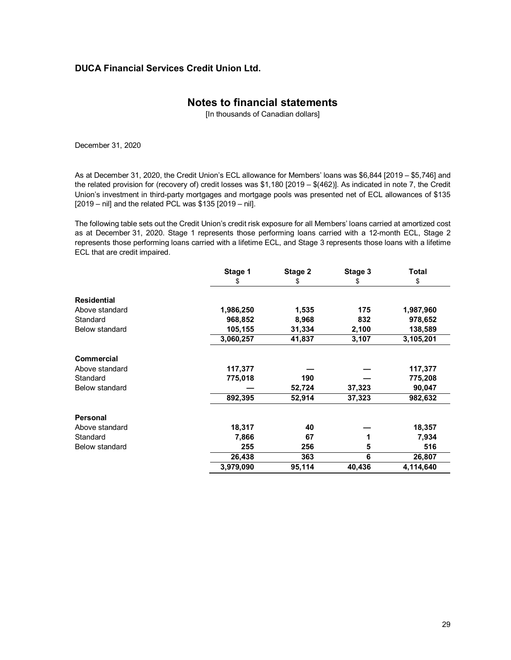### **Notes to financial statements**

[In thousands of Canadian dollars]

December 31, 2020

As at December 31, 2020, the Credit Union's ECL allowance for Members' loans was \$6,844 [2019 – \$5,746] and the related provision for (recovery of) credit losses was \$1,180 [2019 – \$(462)]. As indicated in note 7, the Credit Union's investment in third-party mortgages and mortgage pools was presented net of ECL allowances of \$135 [2019 – nil] and the related PCL was \$135 [2019 – nil].

The following table sets out the Credit Union's credit risk exposure for all Members' loans carried at amortized cost as at December 31, 2020. Stage 1 represents those performing loans carried with a 12-month ECL, Stage 2 represents those performing loans carried with a lifetime ECL, and Stage 3 represents those loans with a lifetime ECL that are credit impaired.

|                       | Stage 1   | Stage 2 | Stage 3 | <b>Total</b> |
|-----------------------|-----------|---------|---------|--------------|
|                       | \$        | \$      | \$      | \$           |
| <b>Residential</b>    |           |         |         |              |
| Above standard        | 1,986,250 | 1,535   | 175     | 1,987,960    |
| Standard              | 968,852   | 8,968   | 832     | 978,652      |
| <b>Below standard</b> | 105,155   | 31,334  | 2,100   | 138,589      |
|                       | 3,060,257 | 41,837  | 3,107   | 3,105,201    |
| <b>Commercial</b>     |           |         |         |              |
| Above standard        | 117,377   |         |         | 117,377      |
| Standard              | 775,018   | 190     |         | 775,208      |
| Below standard        |           | 52,724  | 37,323  | 90,047       |
|                       | 892,395   | 52,914  | 37,323  | 982,632      |
| <b>Personal</b>       |           |         |         |              |
| Above standard        | 18,317    | 40      |         | 18,357       |
| Standard              | 7,866     | 67      |         | 7,934        |
| Below standard        | 255       | 256     | 5       | 516          |
|                       | 26,438    | 363     | 6       | 26,807       |
|                       | 3,979,090 | 95,114  | 40,436  | 4,114,640    |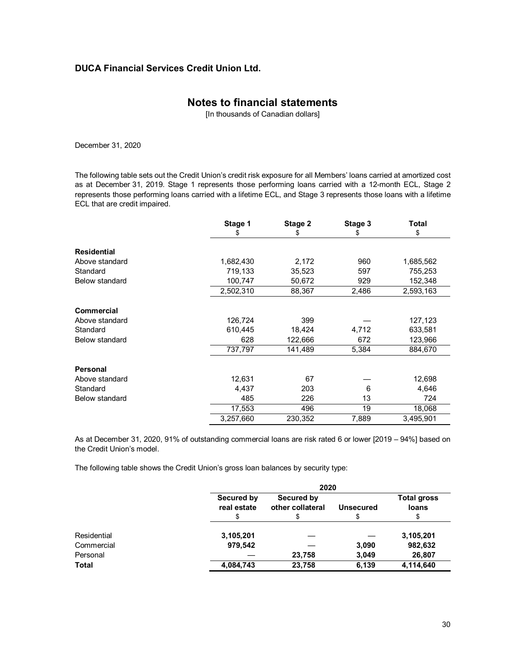# **Notes to financial statements**

[In thousands of Canadian dollars]

December 31, 2020

The following table sets out the Credit Union's credit risk exposure for all Members' loans carried at amortized cost as at December 31, 2019. Stage 1 represents those performing loans carried with a 12-month ECL, Stage 2 represents those performing loans carried with a lifetime ECL, and Stage 3 represents those loans with a lifetime ECL that are credit impaired.

|                    | Stage 1   | Stage 2 | Stage 3 | <b>Total</b> |
|--------------------|-----------|---------|---------|--------------|
|                    | \$        | \$      | \$      | \$           |
| <b>Residential</b> |           |         |         |              |
| Above standard     | 1,682,430 | 2,172   | 960     | 1,685,562    |
| Standard           | 719,133   | 35,523  | 597     | 755,253      |
| Below standard     | 100,747   | 50,672  | 929     | 152,348      |
|                    | 2,502,310 | 88,367  | 2,486   | 2,593,163    |
| <b>Commercial</b>  |           |         |         |              |
| Above standard     | 126,724   | 399     |         | 127,123      |
| Standard           | 610,445   | 18,424  | 4,712   | 633,581      |
| Below standard     | 628       | 122,666 | 672     | 123,966      |
|                    | 737,797   | 141,489 | 5,384   | 884,670      |
| <b>Personal</b>    |           |         |         |              |
| Above standard     | 12,631    | 67      |         | 12,698       |
| Standard           | 4,437     | 203     | 6       | 4,646        |
| Below standard     | 485       | 226     | 13      | 724          |
|                    | 17,553    | 496     | 19      | 18,068       |
|                    | 3,257,660 | 230,352 | 7,889   | 3,495,901    |

As at December 31, 2020, 91% of outstanding commercial loans are risk rated 6 or lower [2019 – 94%] based on the Credit Union's model.

The following table shows the Credit Union's gross loan balances by security type:

|              | 2020                             |                                       |                  |                                   |  |  |
|--------------|----------------------------------|---------------------------------------|------------------|-----------------------------------|--|--|
|              | <b>Secured by</b><br>real estate | <b>Secured by</b><br>other collateral | <b>Unsecured</b> | <b>Total gross</b><br>loans<br>\$ |  |  |
| Residential  | 3,105,201                        |                                       |                  | 3,105,201                         |  |  |
| Commercial   | 979,542                          |                                       | 3,090            | 982,632                           |  |  |
| Personal     |                                  | 23,758                                | 3,049            | 26,807                            |  |  |
| <b>Total</b> | 4,084,743                        | 23,758                                | 6,139            | 4,114,640                         |  |  |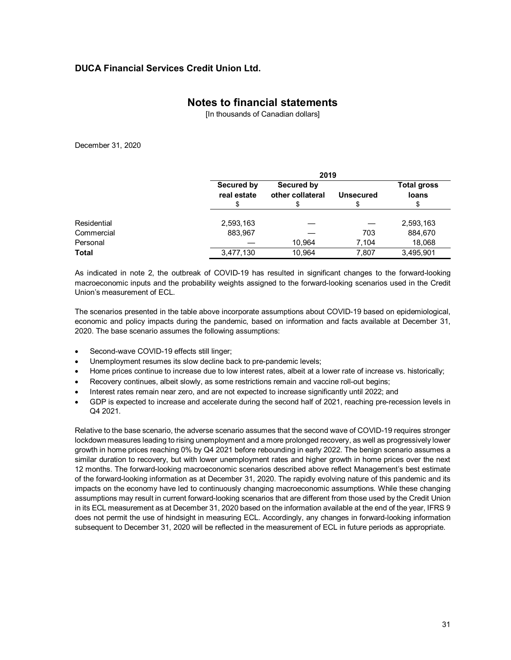### **Notes to financial statements**

[In thousands of Canadian dollars]

December 31, 2020

|              |                           | 2019                           |                  |                                   |  |  |  |
|--------------|---------------------------|--------------------------------|------------------|-----------------------------------|--|--|--|
|              | Secured by<br>real estate | Secured by<br>other collateral | <b>Unsecured</b> | <b>Total gross</b><br>loans<br>\$ |  |  |  |
| Residential  | 2,593,163                 |                                |                  | 2,593,163                         |  |  |  |
| Commercial   | 883,967                   |                                | 703              | 884,670                           |  |  |  |
| Personal     |                           | 10.964                         | 7,104            | 18,068                            |  |  |  |
| <b>Total</b> | 3,477,130                 | 10,964                         | 7,807            | 3,495,901                         |  |  |  |

As indicated in note 2, the outbreak of COVID-19 has resulted in significant changes to the forward-looking macroeconomic inputs and the probability weights assigned to the forward-looking scenarios used in the Credit Union's measurement of ECL.

The scenarios presented in the table above incorporate assumptions about COVID-19 based on epidemiological, economic and policy impacts during the pandemic, based on information and facts available at December 31, 2020. The base scenario assumes the following assumptions:

- Second-wave COVID-19 effects still linger;
- Unemployment resumes its slow decline back to pre-pandemic levels;
- Home prices continue to increase due to low interest rates, albeit at a lower rate of increase vs. historically;
- Recovery continues, albeit slowly, as some restrictions remain and vaccine roll-out begins;
- Interest rates remain near zero, and are not expected to increase significantly until 2022; and
- GDP is expected to increase and accelerate during the second half of 2021, reaching pre-recession levels in Q4 2021.

Relative to the base scenario, the adverse scenario assumes that the second wave of COVID-19 requires stronger lockdown measures leading to rising unemployment and a more prolonged recovery, as well as progressively lower growth in home prices reaching 0% by Q4 2021 before rebounding in early 2022. The benign scenario assumes a similar duration to recovery, but with lower unemployment rates and higher growth in home prices over the next 12 months. The forward-looking macroeconomic scenarios described above reflect Management's best estimate of the forward-looking information as at December 31, 2020. The rapidly evolving nature of this pandemic and its impacts on the economy have led to continuously changing macroeconomic assumptions. While these changing assumptions may result in current forward-looking scenarios that are different from those used by the Credit Union in its ECL measurement as at December 31, 2020 based on the information available at the end of the year, IFRS 9 does not permit the use of hindsight in measuring ECL. Accordingly, any changes in forward-looking information subsequent to December 31, 2020 will be reflected in the measurement of ECL in future periods as appropriate.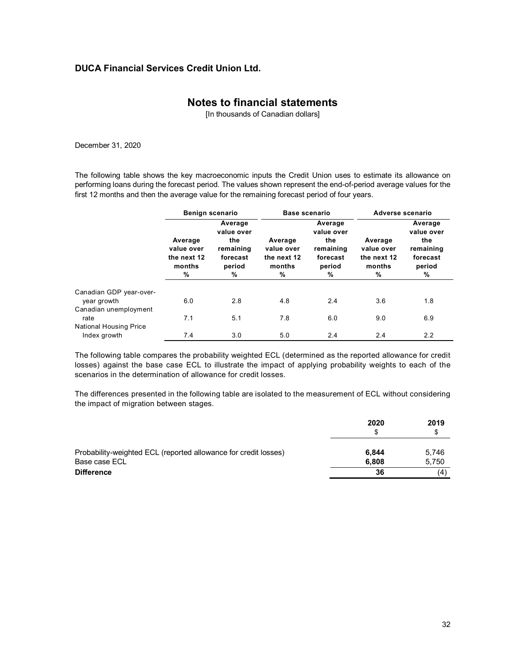### **Notes to financial statements**

[In thousands of Canadian dollars]

December 31, 2020

The following table shows the key macroeconomic inputs the Credit Union uses to estimate its allowance on performing loans during the forecast period. The values shown represent the end-of-period average values for the first 12 months and then the average value for the remaining forecast period of four years.

|                                               | <b>Benign scenario</b>                              |                                                                      | <b>Base scenario</b>                                |                                                                      | Adverse scenario                                    |                                                                      |
|-----------------------------------------------|-----------------------------------------------------|----------------------------------------------------------------------|-----------------------------------------------------|----------------------------------------------------------------------|-----------------------------------------------------|----------------------------------------------------------------------|
|                                               | Average<br>value over<br>the next 12<br>months<br>% | Average<br>value over<br>the<br>remaining<br>forecast<br>period<br>% | Average<br>value over<br>the next 12<br>months<br>% | Average<br>value over<br>the<br>remaining<br>forecast<br>period<br>% | Average<br>value over<br>the next 12<br>months<br>% | Average<br>value over<br>the<br>remaining<br>forecast<br>period<br>% |
| Canadian GDP year-over-                       |                                                     |                                                                      |                                                     |                                                                      |                                                     |                                                                      |
| year growth                                   | 6.0                                                 | 2.8                                                                  | 4.8                                                 | 2.4                                                                  | 3.6                                                 | 1.8                                                                  |
| Canadian unemployment<br>rate                 | 7.1                                                 | 5.1                                                                  | 7.8                                                 | 6.0                                                                  | 9.0                                                 | 6.9                                                                  |
| <b>National Housing Price</b><br>Index growth | 7.4                                                 | 3.0                                                                  | 5.0                                                 | 2.4                                                                  | 2.4                                                 | 2.2                                                                  |

The following table compares the probability weighted ECL (determined as the reported allowance for credit losses) against the base case ECL to illustrate the impact of applying probability weights to each of the scenarios in the determination of allowance for credit losses.

The differences presented in the following table are isolated to the measurement of ECL without considering the impact of migration between stages.

|                                                                 | 2020<br>S | 2019<br>S |
|-----------------------------------------------------------------|-----------|-----------|
| Probability-weighted ECL (reported allowance for credit losses) | 6.844     | 5,746     |
| Base case ECL                                                   | 6.808     | 5,750     |
| <b>Difference</b>                                               | 36        | (4)       |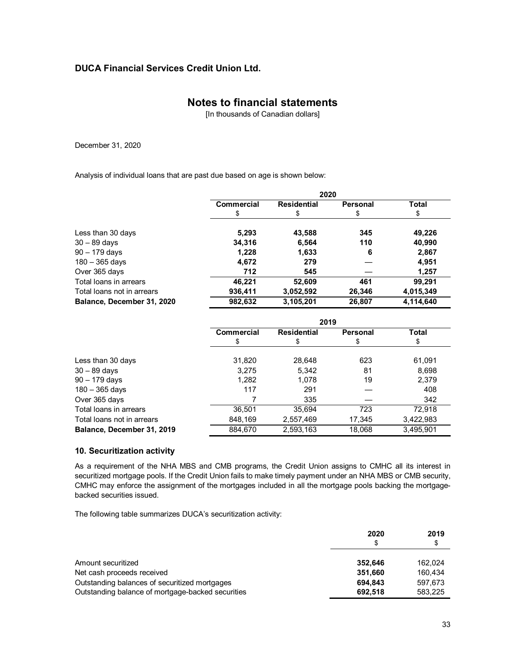# **Notes to financial statements**

[In thousands of Canadian dollars]

December 31, 2020

Analysis of individual loans that are past due based on age is shown below:

|                            | 2020              |                    |                 |           |  |  |
|----------------------------|-------------------|--------------------|-----------------|-----------|--|--|
|                            | <b>Commercial</b> | <b>Residential</b> | <b>Personal</b> | Total     |  |  |
|                            | \$                | \$                 | \$              | \$        |  |  |
| Less than 30 days          | 5,293             | 43,588             | 345             | 49,226    |  |  |
| $30 - 89$ days             | 34,316            | 6,564              | 110             | 40,990    |  |  |
| $90 - 179$ days            | 1,228             | 1,633              | 6               | 2,867     |  |  |
| $180 - 365$ days           | 4,672             | 279                |                 | 4,951     |  |  |
| Over 365 days              | 712               | 545                |                 | 1,257     |  |  |
| Total loans in arrears     | 46,221            | 52,609             | 461             | 99.291    |  |  |
| Total loans not in arrears | 936,411           | 3,052,592          | 26,346          | 4,015,349 |  |  |
| Balance, December 31, 2020 | 982,632           | 3,105,201          | 26,807          | 4,114,640 |  |  |

|                            |                   | 2019               |          |           |  |  |  |
|----------------------------|-------------------|--------------------|----------|-----------|--|--|--|
|                            | <b>Commercial</b> | <b>Residential</b> | Personal | Total     |  |  |  |
|                            | \$                | \$                 | \$       | \$        |  |  |  |
| Less than 30 days          | 31,820            | 28,648             | 623      | 61,091    |  |  |  |
| $30 - 89$ days             | 3,275             | 5,342              | 81       | 8,698     |  |  |  |
| $90 - 179$ days            | 1,282             | 1.078              | 19       | 2,379     |  |  |  |
| $180 - 365$ days           | 117               | 291                |          | 408       |  |  |  |
| Over 365 days              |                   | 335                |          | 342       |  |  |  |
| Total loans in arrears     | 36,501            | 35,694             | 723      | 72.918    |  |  |  |
| Total loans not in arrears | 848,169           | 2,557,469          | 17,345   | 3,422,983 |  |  |  |
| Balance, December 31, 2019 | 884,670           | 2,593,163          | 18,068   | 3,495,901 |  |  |  |

### **10. Securitization activity**

As a requirement of the NHA MBS and CMB programs, the Credit Union assigns to CMHC all its interest in securitized mortgage pools. If the Credit Union fails to make timely payment under an NHA MBS or CMB security, CMHC may enforce the assignment of the mortgages included in all the mortgage pools backing the mortgagebacked securities issued.

The following table summarizes DUCA's securitization activity:

|                                                                             | 2020<br>\$         | 2019<br>\$         |
|-----------------------------------------------------------------------------|--------------------|--------------------|
| Amount securitized                                                          | 352.646            | 162.024            |
| Net cash proceeds received<br>Outstanding balances of securitized mortgages | 351.660<br>694.843 | 160,434<br>597.673 |
| Outstanding balance of mortgage-backed securities                           | 692,518            | 583,225            |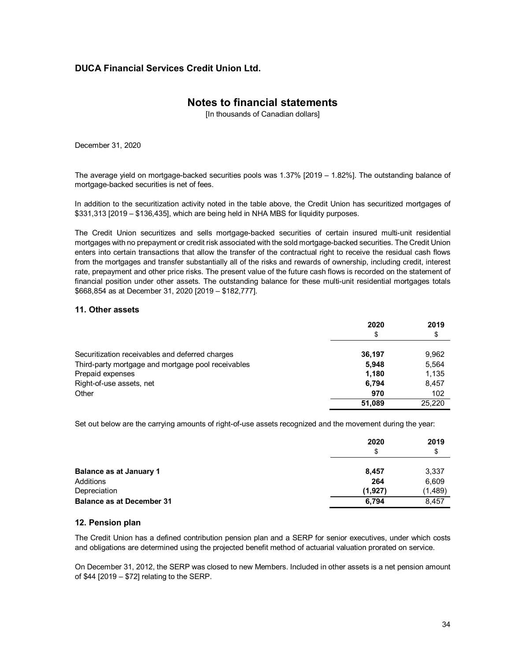### **Notes to financial statements**

[In thousands of Canadian dollars]

December 31, 2020

The average yield on mortgage-backed securities pools was 1.37% [2019 – 1.82%]. The outstanding balance of mortgage-backed securities is net of fees.

In addition to the securitization activity noted in the table above, the Credit Union has securitized mortgages of \$331,313 [2019 – \$136,435], which are being held in NHA MBS for liquidity purposes.

The Credit Union securitizes and sells mortgage-backed securities of certain insured multi-unit residential mortgages with no prepayment or credit risk associated with the sold mortgage-backed securities. The Credit Union enters into certain transactions that allow the transfer of the contractual right to receive the residual cash flows from the mortgages and transfer substantially all of the risks and rewards of ownership, including credit, interest rate, prepayment and other price risks. The present value of the future cash flows is recorded on the statement of financial position under other assets. The outstanding balance for these multi-unit residential mortgages totals \$668,854 as at December 31, 2020 [2019 – \$182,777].

#### **11. Other assets**

|                                                    | 2020<br>\$ | 2019<br>\$ |
|----------------------------------------------------|------------|------------|
| Securitization receivables and deferred charges    | 36.197     | 9,962      |
| Third-party mortgage and mortgage pool receivables | 5.948      | 5,564      |
| Prepaid expenses                                   | 1,180      | 1,135      |
| Right-of-use assets, net                           | 6.794      | 8,457      |
| Other                                              | 970        | 102        |
|                                                    | 51.089     | 25.220     |

Set out below are the carrying amounts of right-of-use assets recognized and the movement during the year:

|                                  | 2020<br>\$ | 2019<br>\$ |
|----------------------------------|------------|------------|
| <b>Balance as at January 1</b>   | 8.457      | 3,337      |
| Additions                        | 264        | 6,609      |
| Depreciation                     | (1,927)    | (1,489)    |
| <b>Balance as at December 31</b> | 6.794      | 8,457      |

#### **12. Pension plan**

The Credit Union has a defined contribution pension plan and a SERP for senior executives, under which costs and obligations are determined using the projected benefit method of actuarial valuation prorated on service.

On December 31, 2012, the SERP was closed to new Members. Included in other assets is a net pension amount of \$44 [2019 – \$72] relating to the SERP.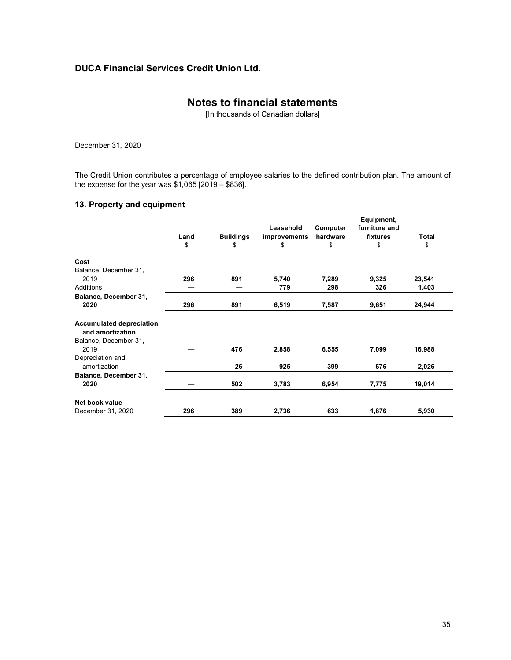# **Notes to financial statements**

[In thousands of Canadian dollars]

December 31, 2020

The Credit Union contributes a percentage of employee salaries to the defined contribution plan. The amount of the expense for the year was  $$1,065$  [2019 –  $$836$ ].

### **13. Property and equipment**

| furniture and<br>Leasehold<br>Computer                           |        |
|------------------------------------------------------------------|--------|
| <b>Buildings</b><br>hardware<br>fixtures<br>Land<br>improvements | Total  |
| \$<br>\$<br>\$<br>\$<br>\$                                       | \$     |
| Cost                                                             |        |
| Balance, December 31,                                            |        |
| 2019<br>891<br>296<br>5,740<br>7,289<br>9,325                    | 23,541 |
| Additions<br>326<br>779<br>298                                   | 1,403  |
| Balance, December 31,                                            |        |
| 2020<br>7,587<br>296<br>891<br>6,519<br>9,651                    | 24,944 |
| <b>Accumulated depreciation</b><br>and amortization              |        |
| Balance, December 31,                                            |        |
| 2019<br>476<br>2,858<br>6,555<br>7,099                           | 16,988 |
| Depreciation and<br>26<br>925<br>676<br>amortization<br>399      | 2,026  |
| Balance, December 31,                                            |        |
| 2020<br>502<br>3,783<br>6,954<br>7,775                           | 19,014 |
| Net book value                                                   |        |
| 296<br>389<br>2,736<br>December 31, 2020<br>633<br>1,876         | 5,930  |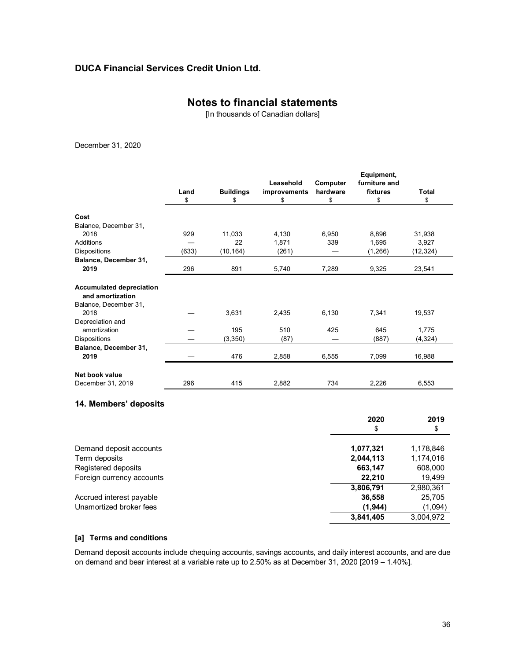# **Notes to financial statements**

[In thousands of Canadian dollars]

December 31, 2020

|                                                     |       |                  |              |          | Equipment,    |          |
|-----------------------------------------------------|-------|------------------|--------------|----------|---------------|----------|
|                                                     |       |                  | Leasehold    | Computer | furniture and |          |
|                                                     | Land  | <b>Buildings</b> | improvements | hardware | fixtures      | Total    |
|                                                     | \$    | \$               | \$           | \$       | \$            | \$       |
| Cost                                                |       |                  |              |          |               |          |
|                                                     |       |                  |              |          |               |          |
| Balance, December 31,                               |       |                  |              |          |               |          |
| 2018                                                | 929   | 11,033           | 4,130        | 6,950    | 8,896         | 31,938   |
| Additions                                           |       | 22               | 1,871        | 339      | 1,695         | 3,927    |
| <b>Dispositions</b>                                 | (633) | (10, 164)        | (261)        |          | (1,266)       | (12,324) |
| Balance, December 31,                               |       |                  |              |          |               |          |
| 2019                                                | 296   | 891              | 5,740        | 7,289    | 9,325         | 23,541   |
| <b>Accumulated depreciation</b><br>and amortization |       |                  |              |          |               |          |
| Balance, December 31,                               |       |                  |              |          |               |          |
| 2018                                                |       | 3,631            | 2,435        | 6,130    | 7,341         | 19,537   |
| Depreciation and                                    |       |                  |              |          |               |          |
| amortization                                        |       | 195              | 510          | 425      | 645           | 1,775    |
| <b>Dispositions</b>                                 |       | (3,350)          | (87)         |          | (887)         | (4, 324) |
| Balance, December 31,                               |       |                  |              |          |               |          |
| 2019                                                |       | 476              | 2,858        | 6,555    | 7,099         | 16,988   |
| Net book value                                      |       |                  |              |          |               |          |
| December 31, 2019                                   | 296   | 415              | 2,882        | 734      | 2,226         | 6,553    |

### **14. Members' deposits**

|                           | 2020      | 2019      |
|---------------------------|-----------|-----------|
|                           | \$        | \$        |
| Demand deposit accounts   | 1,077,321 | 1,178,846 |
| Term deposits             | 2,044,113 | 1,174,016 |
| Registered deposits       | 663,147   | 608,000   |
| Foreign currency accounts | 22,210    | 19,499    |
|                           | 3,806,791 | 2,980,361 |
| Accrued interest payable  | 36,558    | 25,705    |
| Unamortized broker fees   | (1,944)   | (1,094)   |
|                           | 3,841,405 | 3,004,972 |

### **[a] Terms and conditions**

Demand deposit accounts include chequing accounts, savings accounts, and daily interest accounts, and are due on demand and bear interest at a variable rate up to 2.50% as at December 31, 2020 [2019 – 1.40%].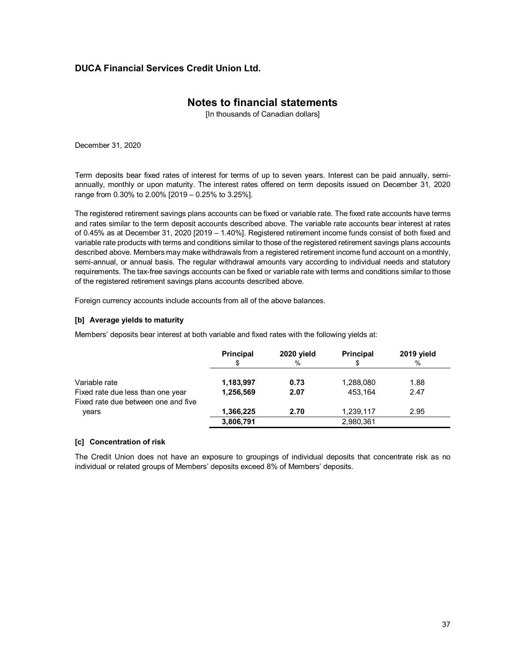### **Notes to financial statements**

[In thousands of Canadian dollars]

December 31, 2020

Term deposits bear fixed rates of interest for terms of up to seven years. Interest can be paid annually, semiannually, monthly or upon maturity. The interest rates offered on term deposits issued on December 31, 2020 range from 0.30% to 2.00% [2019 – 0.25% to 3.25%].

The registered retirement savings plans accounts can be fixed or variable rate. The fixed rate accounts have terms and rates similar to the term deposit accounts described above. The variable rate accounts bear interest at rates of 0.45% as at December 31, 2020 [2019 – 1.40%]. Registered retirement income funds consist of both fixed and variable rate products with terms and conditions similar to those of the registered retirement savings plans accounts described above. Members may make withdrawals from a registered retirement income fund account on a monthly, semi-annual, or annual basis. The regular withdrawal amounts vary according to individual needs and statutory requirements. The tax-free savings accounts can be fixed or variable rate with terms and conditions similar to those of the registered retirement savings plans accounts described above.

Foreign currency accounts include accounts from all of the above balances.

#### **[b] Average yields to maturity**

Members' deposits bear interest at both variable and fixed rates with the following yields at:

|                                                                          | <b>Principal</b><br>S | 2020 yield<br>% | <b>Principal</b><br>\$ | 2019 yield<br>% |
|--------------------------------------------------------------------------|-----------------------|-----------------|------------------------|-----------------|
| Variable rate                                                            | 1,183,997             | 0.73            | 1,288,080              | 1.88            |
| Fixed rate due less than one year<br>Fixed rate due between one and five | 1,256,569             | 2.07            | 453.164                | 2.47            |
| years                                                                    | 1,366,225             | 2.70            | 1,239,117              | 2.95            |
|                                                                          | 3,806,791             |                 | 2,980,361              |                 |

#### **[c] Concentration of risk**

The Credit Union does not have an exposure to groupings of individual deposits that concentrate risk as no individual or related groups of Members' deposits exceed 8% of Members' deposits.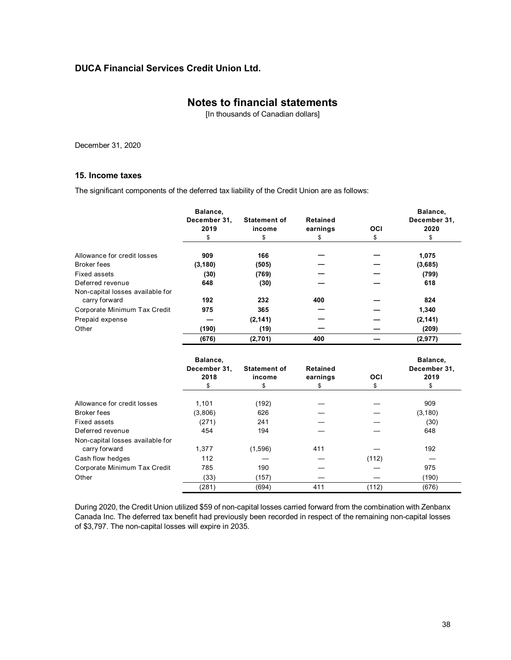# **Notes to financial statements**

[In thousands of Canadian dollars]

December 31, 2020

#### **15. Income taxes**

The significant components of the deferred tax liability of the Credit Union are as follows:

|                                                   | Balance,<br>December 31,<br>2019<br>\$ | <b>Statement of</b><br>income<br>\$ | <b>Retained</b><br>earnings<br>\$ | OCI<br>\$ | Balance,<br>December 31,<br>2020<br>\$ |
|---------------------------------------------------|----------------------------------------|-------------------------------------|-----------------------------------|-----------|----------------------------------------|
|                                                   |                                        |                                     |                                   |           |                                        |
| Allowance for credit losses                       | 909                                    | 166                                 |                                   |           | 1,075                                  |
| <b>Broker fees</b>                                | (3, 180)                               | (505)                               |                                   |           | (3,685)                                |
| Fixed assets                                      | (30)                                   | (769)                               |                                   |           | (799)                                  |
| Deferred revenue                                  | 648                                    | (30)                                |                                   |           | 618                                    |
| Non-capital losses available for<br>carry forward | 192                                    | 232                                 | 400                               |           | 824                                    |
| Corporate Minimum Tax Credit                      | 975                                    | 365                                 |                                   |           | 1,340                                  |
| Prepaid expense                                   |                                        | (2, 141)                            |                                   |           | (2, 141)                               |
| Other                                             | (190)                                  | (19)                                |                                   |           | (209)                                  |
|                                                   | (676)                                  | (2,701)                             | 400                               | _         | (2,977)                                |
|                                                   | Balance,<br>December 31,<br>2018       | <b>Statement of</b><br>income       | <b>Retained</b><br>earnings       | OCI       | Balance,<br>December 31,<br>2019       |
|                                                   | \$                                     | \$                                  | \$                                | \$        | \$                                     |
| Allowance for credit losses                       | 1,101                                  | (192)                               |                                   |           | 909                                    |
| <b>Broker</b> fees                                | (3,806)                                | 626                                 |                                   |           | (3, 180)                               |
| Fixed assets                                      | (271)                                  | 241                                 |                                   |           | (30)                                   |
| Deferred revenue                                  | 454                                    | 194                                 |                                   |           | 648                                    |
| Non-capital losses available for<br>carry forward | 1,377                                  | (1,596)                             | 411                               |           | 192                                    |

During 2020, the Credit Union utilized \$59 of non-capital losses carried forward from the combination with Zenbanx Canada Inc. The deferred tax benefit had previously been recorded in respect of the remaining non-capital losses of \$3,797. The non-capital losses will expire in 2035.

(281) (694) 411 (112) (676)

Cash flow hedges 112 — — (112) —

Other (33) (157) — — (190)

Corporate Minimum Tax Credit 785 190 — Participate Minimum Tax Credit 785 190 — Participate Minimum Tax Credit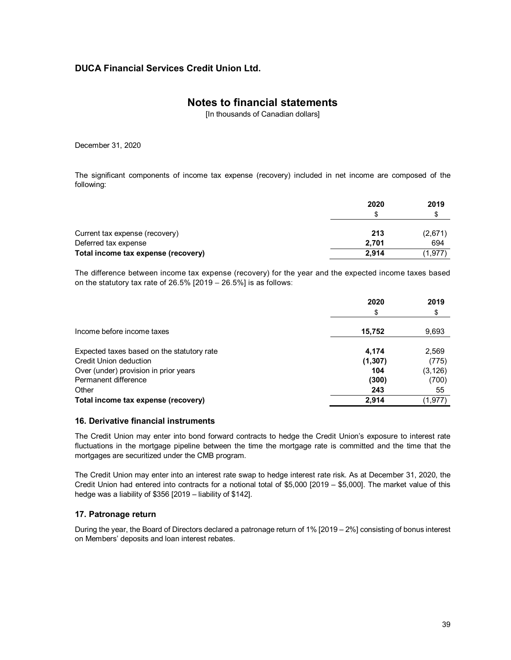# **Notes to financial statements**

[In thousands of Canadian dollars]

December 31, 2020

The significant components of income tax expense (recovery) included in net income are composed of the following:

|                                     | 2020  | 2019    |
|-------------------------------------|-------|---------|
|                                     | \$    | S       |
| Current tax expense (recovery)      | 213   | (2,671) |
| Deferred tax expense                | 2.701 | 694     |
| Total income tax expense (recovery) | 2.914 | (1,977) |

The difference between income tax expense (recovery) for the year and the expected income taxes based on the statutory tax rate of 26.5% [2019 – 26.5%] is as follows:

|                                            | 2020     | 2019     |
|--------------------------------------------|----------|----------|
|                                            | \$       | \$       |
| Income before income taxes                 | 15,752   | 9,693    |
| Expected taxes based on the statutory rate | 4,174    | 2,569    |
| Credit Union deduction                     | (1, 307) | (775)    |
| Over (under) provision in prior years      | 104      | (3, 126) |
| Permanent difference                       | (300)    | (700)    |
| Other                                      | 243      | 55       |
| Total income tax expense (recovery)        | 2.914    | (1,977)  |

#### **16. Derivative financial instruments**

The Credit Union may enter into bond forward contracts to hedge the Credit Union's exposure to interest rate fluctuations in the mortgage pipeline between the time the mortgage rate is committed and the time that the mortgages are securitized under the CMB program.

The Credit Union may enter into an interest rate swap to hedge interest rate risk. As at December 31, 2020, the Credit Union had entered into contracts for a notional total of \$5,000 [2019 – \$5,000]. The market value of this hedge was a liability of \$356 [2019 – liability of \$142].

### **17. Patronage return**

During the year, the Board of Directors declared a patronage return of 1% [2019 – 2%] consisting of bonus interest on Members' deposits and loan interest rebates.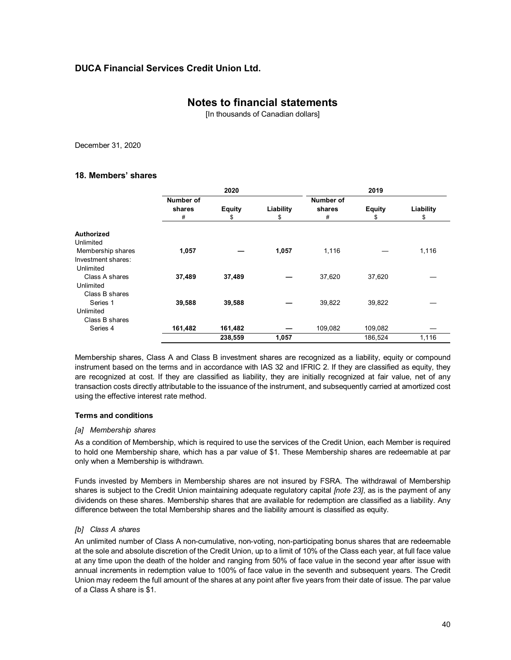### **Notes to financial statements**

[In thousands of Canadian dollars]

December 31, 2020

### **18. Members' shares**

|                    | 2020             |               |           | 2019      |               |           |
|--------------------|------------------|---------------|-----------|-----------|---------------|-----------|
|                    | <b>Number of</b> |               |           | Number of |               |           |
|                    | shares           | <b>Equity</b> | Liability | shares    | <b>Equity</b> | Liability |
|                    | #                | \$            | \$        | #         | \$            | \$        |
| Authorized         |                  |               |           |           |               |           |
| Unlimited          |                  |               |           |           |               |           |
| Membership shares  | 1,057            |               | 1,057     | 1,116     |               | 1,116     |
| Investment shares: |                  |               |           |           |               |           |
| Unlimited          |                  |               |           |           |               |           |
| Class A shares     | 37,489           | 37,489        |           | 37,620    | 37,620        |           |
| Unlimited          |                  |               |           |           |               |           |
| Class B shares     |                  |               |           |           |               |           |
| Series 1           | 39,588           | 39,588        |           | 39,822    | 39,822        |           |
| Unlimited          |                  |               |           |           |               |           |
| Class B shares     |                  |               |           |           |               |           |
| Series 4           | 161,482          | 161,482       |           | 109,082   | 109,082       |           |
|                    |                  | 238,559       | 1,057     |           | 186,524       | 1,116     |

Membership shares, Class A and Class B investment shares are recognized as a liability, equity or compound instrument based on the terms and in accordance with IAS 32 and IFRIC 2. If they are classified as equity, they are recognized at cost. If they are classified as liability, they are initially recognized at fair value, net of any transaction costs directly attributable to the issuance of the instrument, and subsequently carried at amortized cost using the effective interest rate method.

#### **Terms and conditions**

#### *[a] Membership shares*

As a condition of Membership, which is required to use the services of the Credit Union, each Member is required to hold one Membership share, which has a par value of \$1. These Membership shares are redeemable at par only when a Membership is withdrawn.

Funds invested by Members in Membership shares are not insured by FSRA. The withdrawal of Membership shares is subject to the Credit Union maintaining adequate regulatory capital *[note 23]*, as is the payment of any dividends on these shares. Membership shares that are available for redemption are classified as a liability. Any difference between the total Membership shares and the liability amount is classified as equity.

#### *[b] Class A shares*

An unlimited number of Class A non-cumulative, non-voting, non-participating bonus shares that are redeemable at the sole and absolute discretion of the Credit Union, up to a limit of 10% of the Class each year, at full face value at any time upon the death of the holder and ranging from 50% of face value in the second year after issue with annual increments in redemption value to 100% of face value in the seventh and subsequent years. The Credit Union may redeem the full amount of the shares at any point after five years from their date of issue. The par value of a Class A share is \$1.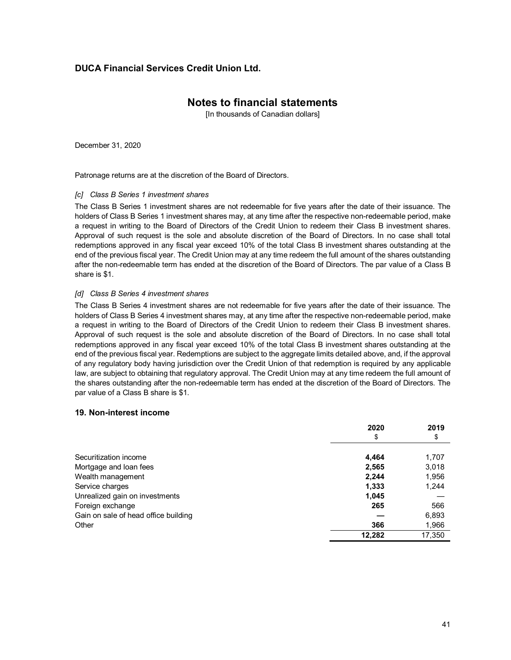### **Notes to financial statements**

[In thousands of Canadian dollars]

December 31, 2020

Patronage returns are at the discretion of the Board of Directors.

#### *[c] Class B Series 1 investment shares*

The Class B Series 1 investment shares are not redeemable for five years after the date of their issuance. The holders of Class B Series 1 investment shares may, at any time after the respective non-redeemable period, make a request in writing to the Board of Directors of the Credit Union to redeem their Class B investment shares. Approval of such request is the sole and absolute discretion of the Board of Directors. In no case shall total redemptions approved in any fiscal year exceed 10% of the total Class B investment shares outstanding at the end of the previous fiscal year. The Credit Union may at any time redeem the full amount of the shares outstanding after the non-redeemable term has ended at the discretion of the Board of Directors. The par value of a Class B share is \$1.

### *[d] Class B Series 4 investment shares*

The Class B Series 4 investment shares are not redeemable for five years after the date of their issuance. The holders of Class B Series 4 investment shares may, at any time after the respective non-redeemable period, make a request in writing to the Board of Directors of the Credit Union to redeem their Class B investment shares. Approval of such request is the sole and absolute discretion of the Board of Directors. In no case shall total redemptions approved in any fiscal year exceed 10% of the total Class B investment shares outstanding at the end of the previous fiscal year. Redemptions are subject to the aggregate limits detailed above, and, if the approval of any regulatory body having jurisdiction over the Credit Union of that redemption is required by any applicable law, are subject to obtaining that regulatory approval. The Credit Union may at any time redeem the full amount of the shares outstanding after the non-redeemable term has ended at the discretion of the Board of Directors. The par value of a Class B share is \$1.

#### **19. Non-interest income**

|                                      | 2020   | 2019   |
|--------------------------------------|--------|--------|
|                                      | \$     | \$     |
|                                      |        |        |
| Securitization income                | 4,464  | 1,707  |
| Mortgage and loan fees               | 2,565  | 3,018  |
| Wealth management                    | 2,244  | 1,956  |
| Service charges                      | 1,333  | 1,244  |
| Unrealized gain on investments       | 1,045  |        |
| Foreign exchange                     | 265    | 566    |
| Gain on sale of head office building |        | 6,893  |
| Other                                | 366    | 1,966  |
|                                      | 12,282 | 17,350 |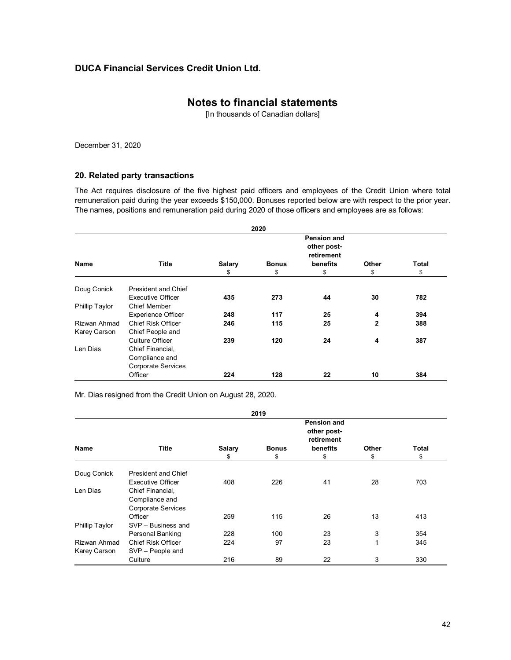# **Notes to financial statements**

[In thousands of Canadian dollars]

December 31, 2020

### **20. Related party transactions**

The Act requires disclosure of the five highest paid officers and employees of the Credit Union where total remuneration paid during the year exceeds \$150,000. Bonuses reported below are with respect to the prior year. The names, positions and remuneration paid during 2020 of those officers and employees are as follows:

|                | 2020                                            |                     |                    |                |              |             |  |  |  |
|----------------|-------------------------------------------------|---------------------|--------------------|----------------|--------------|-------------|--|--|--|
|                | <b>Pension and</b><br>other post-<br>retirement |                     |                    |                |              |             |  |  |  |
| <b>Name</b>    | Title                                           | <b>Salary</b><br>\$ | <b>Bonus</b><br>\$ | benefits<br>\$ | Other<br>\$  | Total<br>\$ |  |  |  |
| Doug Conick    | <b>President and Chief</b>                      |                     |                    |                |              |             |  |  |  |
|                | <b>Executive Officer</b>                        | 435                 | 273                | 44             | 30           | 782         |  |  |  |
| Phillip Taylor | <b>Chief Member</b>                             |                     |                    |                |              |             |  |  |  |
|                | <b>Experience Officer</b>                       | 248                 | 117                | 25             | 4            | 394         |  |  |  |
| Rizwan Ahmad   | <b>Chief Risk Officer</b>                       | 246                 | 115                | 25             | $\mathbf{2}$ | 388         |  |  |  |
| Karey Carson   | Chief People and                                |                     |                    |                |              |             |  |  |  |
|                | <b>Culture Officer</b>                          | 239                 | 120                | 24             | 4            | 387         |  |  |  |
| Len Dias       | Chief Financial,                                |                     |                    |                |              |             |  |  |  |
|                | Compliance and                                  |                     |                    |                |              |             |  |  |  |
|                | <b>Corporate Services</b>                       |                     |                    |                |              |             |  |  |  |
|                | Officer                                         | 224                 | 128                | 22             | 10           | 384         |  |  |  |

Mr. Dias resigned from the Credit Union on August 28, 2020.

| 2019                                                            |                          |                    |                |             |             |  |
|-----------------------------------------------------------------|--------------------------|--------------------|----------------|-------------|-------------|--|
| <b>Pension and</b><br>other post-<br>retirement                 |                          |                    |                |             |             |  |
| Title                                                           | <b>Salary</b><br>\$      | <b>Bonus</b><br>\$ | benefits<br>\$ | Other<br>\$ | Total<br>\$ |  |
| President and Chief                                             |                          |                    |                |             |             |  |
| Chief Financial,<br>Compliance and<br><b>Corporate Services</b> |                          |                    |                |             | 703         |  |
| Officer                                                         | 259                      | 115                | 26             | 13          | 413         |  |
| SVP - Business and                                              |                          |                    |                |             |             |  |
| <b>Personal Banking</b>                                         | 228                      | 100                | 23             | 3           | 354         |  |
| <b>Chief Risk Officer</b>                                       | 224                      | 97                 | 23             | 1           | 345         |  |
| SVP - People and                                                |                          |                    |                |             |             |  |
| Culture                                                         | 216                      | 89                 | 22             | 3           | 330         |  |
|                                                                 | <b>Executive Officer</b> | 408                | 226            | 41          | 28          |  |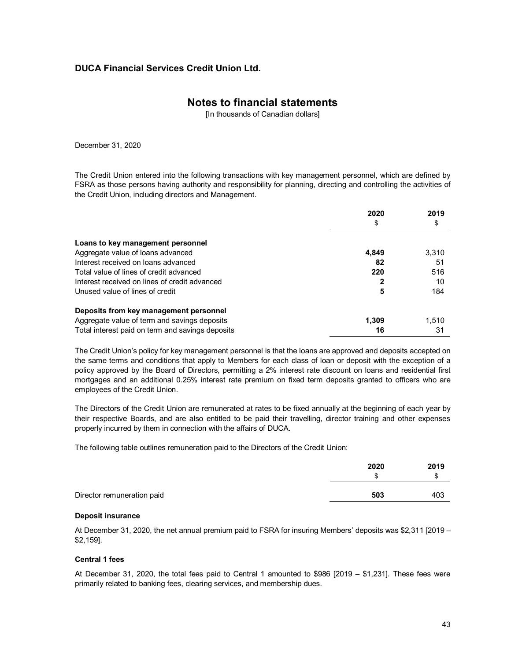### **Notes to financial statements**

[In thousands of Canadian dollars]

December 31, 2020

The Credit Union entered into the following transactions with key management personnel, which are defined by FSRA as those persons having authority and responsibility for planning, directing and controlling the activities of the Credit Union, including directors and Management.

|                                                  | 2020  | 2019  |
|--------------------------------------------------|-------|-------|
|                                                  | \$    | \$    |
| Loans to key management personnel                |       |       |
| Aggregate value of loans advanced                | 4,849 | 3,310 |
| Interest received on loans advanced              | 82    | 51    |
| Total value of lines of credit advanced          | 220   | 516   |
| Interest received on lines of credit advanced    |       | 10    |
| Unused value of lines of credit                  | 5     | 184   |
| Deposits from key management personnel           |       |       |
| Aggregate value of term and savings deposits     | 1.309 | 1.510 |
| Total interest paid on term and savings deposits | 16    | 31    |

The Credit Union's policy for key management personnel is that the loans are approved and deposits accepted on the same terms and conditions that apply to Members for each class of loan or deposit with the exception of a policy approved by the Board of Directors, permitting a 2% interest rate discount on loans and residential first mortgages and an additional 0.25% interest rate premium on fixed term deposits granted to officers who are employees of the Credit Union.

The Directors of the Credit Union are remunerated at rates to be fixed annually at the beginning of each year by their respective Boards, and are also entitled to be paid their travelling, director training and other expenses properly incurred by them in connection with the affairs of DUCA.

The following table outlines remuneration paid to the Directors of the Credit Union:

|                            | 2020 | 2019<br>Ф |
|----------------------------|------|-----------|
| Director remuneration paid | 503  | 403       |

#### **Deposit insurance**

At December 31, 2020, the net annual premium paid to FSRA for insuring Members' deposits was \$2,311 [2019 – \$2,159].

#### **Central 1 fees**

At December 31, 2020, the total fees paid to Central 1 amounted to \$986 [2019 – \$1,231]. These fees were primarily related to banking fees, clearing services, and membership dues.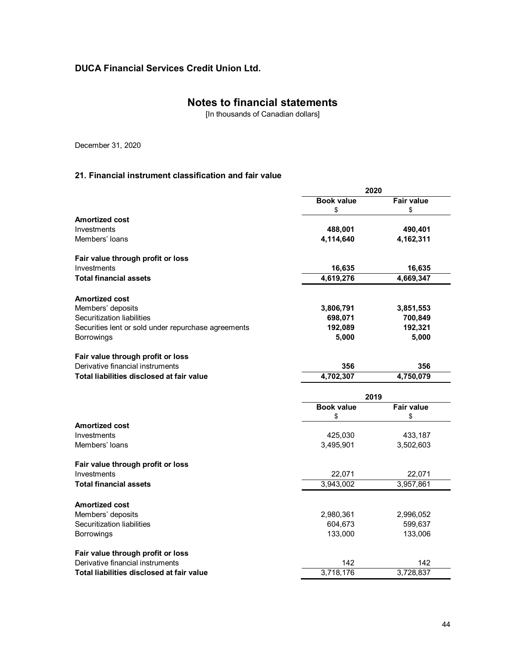# **Notes to financial statements**

[In thousands of Canadian dollars]

December 31, 2020

### **21. Financial instrument classification and fair value**

|                                                     | 2020              |                   |
|-----------------------------------------------------|-------------------|-------------------|
|                                                     | <b>Book value</b> | <b>Fair value</b> |
|                                                     | \$                | \$                |
| <b>Amortized cost</b>                               |                   |                   |
| Investments                                         | 488,001           | 490,401           |
| Members' loans                                      | 4,114,640         | 4,162,311         |
| Fair value through profit or loss                   |                   |                   |
| Investments                                         | 16,635            | 16,635            |
| <b>Total financial assets</b>                       | 4,619,276         | 4,669,347         |
| <b>Amortized cost</b>                               |                   |                   |
| Members' deposits                                   | 3,806,791         | 3,851,553         |
| Securitization liabilities                          | 698,071           | 700,849           |
| Securities lent or sold under repurchase agreements | 192,089           | 192,321           |
| Borrowings                                          | 5,000             | 5,000             |
| Fair value through profit or loss                   |                   |                   |
| Derivative financial instruments                    | 356               | 356               |
| Total liabilities disclosed at fair value           | 4,702,307         | 4,750,079         |
|                                                     | 2019              |                   |
|                                                     | <b>Book value</b> | <b>Fair value</b> |
|                                                     | \$                | \$                |
| <b>Amortized cost</b>                               |                   |                   |
| Investments                                         | 425,030           | 433,187           |
| Members' loans                                      | 3,495,901         | 3,502,603         |
| Fair value through profit or loss                   |                   |                   |
| Investments                                         | 22,071            | 22,071            |
| <b>Total financial assets</b>                       | 3,943,002         | 3,957,861         |
| <b>Amortized cost</b>                               |                   |                   |
| Members' deposits                                   | 2,980,361         | 2,996,052         |
| Securitization liabilities                          | 604,673           | 599,637           |
| Borrowings                                          | 133,000           | 133,006           |
| Fair value through profit or loss                   |                   |                   |
| Derivative financial instruments                    | 142               | 142               |
| Total liabilities disclosed at fair value           | 3,718,176         | 3,728,837         |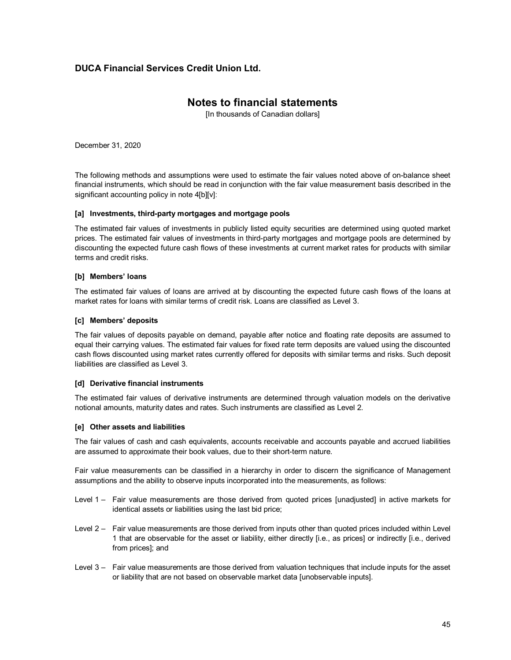### **Notes to financial statements**

[In thousands of Canadian dollars]

December 31, 2020

The following methods and assumptions were used to estimate the fair values noted above of on-balance sheet financial instruments, which should be read in conjunction with the fair value measurement basis described in the significant accounting policy in note 4[b][v]:

#### **[a] Investments, third-party mortgages and mortgage pools**

The estimated fair values of investments in publicly listed equity securities are determined using quoted market prices. The estimated fair values of investments in third-party mortgages and mortgage pools are determined by discounting the expected future cash flows of these investments at current market rates for products with similar terms and credit risks.

#### **[b] Members' loans**

The estimated fair values of loans are arrived at by discounting the expected future cash flows of the loans at market rates for loans with similar terms of credit risk. Loans are classified as Level 3.

#### **[c] Members' deposits**

The fair values of deposits payable on demand, payable after notice and floating rate deposits are assumed to equal their carrying values. The estimated fair values for fixed rate term deposits are valued using the discounted cash flows discounted using market rates currently offered for deposits with similar terms and risks. Such deposit liabilities are classified as Level 3.

#### **[d] Derivative financial instruments**

The estimated fair values of derivative instruments are determined through valuation models on the derivative notional amounts, maturity dates and rates. Such instruments are classified as Level 2.

#### **[e] Other assets and liabilities**

The fair values of cash and cash equivalents, accounts receivable and accounts payable and accrued liabilities are assumed to approximate their book values, due to their short-term nature.

Fair value measurements can be classified in a hierarchy in order to discern the significance of Management assumptions and the ability to observe inputs incorporated into the measurements, as follows:

- Level 1 Fair value measurements are those derived from quoted prices [unadjusted] in active markets for identical assets or liabilities using the last bid price;
- Level 2 Fair value measurements are those derived from inputs other than quoted prices included within Level 1 that are observable for the asset or liability, either directly [i.e., as prices] or indirectly [i.e., derived from prices]; and
- Level 3 Fair value measurements are those derived from valuation techniques that include inputs for the asset or liability that are not based on observable market data [unobservable inputs].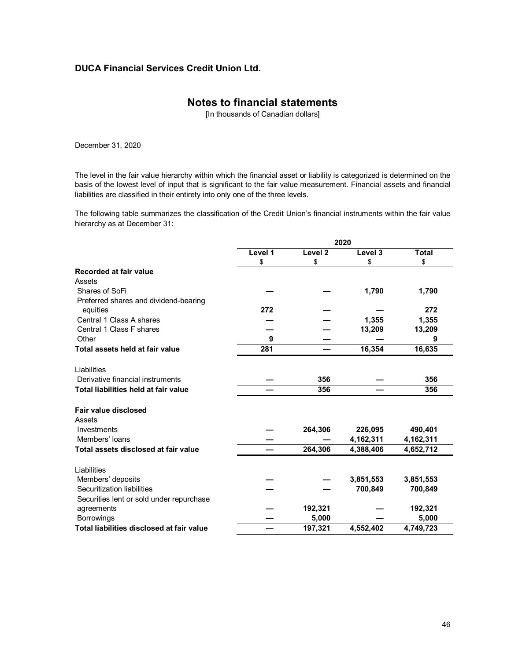# **Notes to financial statements**

[In thousands of Canadian dollars]

December 31, 2020

The level in the fair value hierarchy within which the financial asset or liability is categorized is determined on the basis of the lowest level of input that is significant to the fair value measurement. Financial assets and financial liabilities are classified in their entirety into only one of the three levels.

The following table summarizes the classification of the Credit Union's financial instruments within the fair value hierarchy as at December 31:

|                                           |         |                    | 2020      |              |
|-------------------------------------------|---------|--------------------|-----------|--------------|
|                                           | Level 1 | Level <sub>2</sub> | Level $3$ | <b>Total</b> |
| Recorded at fair value                    | \$      | \$                 | \$        | \$           |
| Assets                                    |         |                    |           |              |
|                                           |         |                    |           |              |
| Shares of SoFi                            |         |                    | 1,790     | 1,790        |
| Preferred shares and dividend-bearing     |         |                    |           |              |
| equities                                  | 272     |                    |           | 272          |
| Central 1 Class A shares                  |         |                    | 1,355     | 1,355        |
| Central 1 Class F shares                  |         |                    | 13,209    | 13,209       |
| Other                                     | 9       |                    |           | 9            |
| Total assets held at fair value           | 281     |                    | 16,354    | 16,635       |
| Liabilities                               |         |                    |           |              |
| Derivative financial instruments          |         | 356                |           | 356          |
| Total liabilities held at fair value      |         | 356                |           | 356          |
|                                           |         |                    |           |              |
| Fair value disclosed                      |         |                    |           |              |
| Assets                                    |         |                    |           |              |
| Investments                               |         | 264,306            | 226,095   | 490,401      |
| Members' loans                            |         |                    | 4,162,311 | 4,162,311    |
| Total assets disclosed at fair value      |         | 264,306            | 4,388,406 | 4,652,712    |
| Liabilities                               |         |                    |           |              |
| Members' deposits                         |         |                    | 3,851,553 | 3,851,553    |
| Securitization liabilities                |         |                    | 700,849   | 700,849      |
| Securities lent or sold under repurchase  |         |                    |           |              |
| agreements                                |         | 192,321            |           | 192,321      |
| <b>Borrowings</b>                         |         | 5,000              |           | 5,000        |
| Total liabilities disclosed at fair value |         | 197,321            | 4,552,402 | 4,749,723    |
|                                           |         |                    |           |              |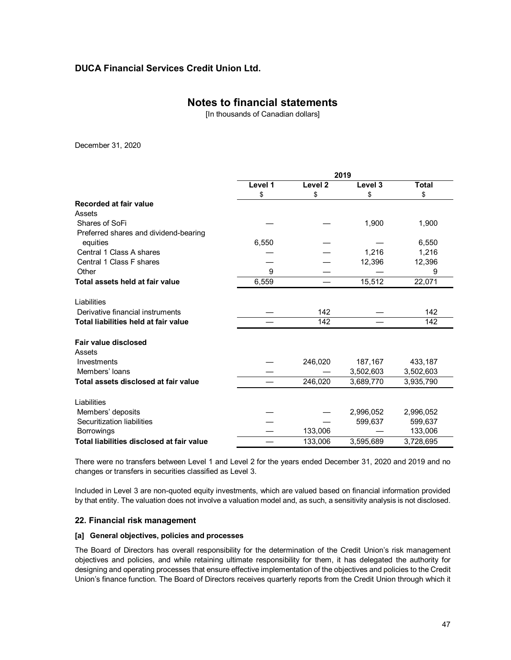### **Notes to financial statements**

[In thousands of Canadian dollars]

December 31, 2020

|                                           |         |                      | 2019      |              |
|-------------------------------------------|---------|----------------------|-----------|--------------|
|                                           | Level 1 | Level $\overline{2}$ | Level 3   | <b>Total</b> |
|                                           | \$      | \$                   | \$        | \$           |
| Recorded at fair value                    |         |                      |           |              |
| Assets                                    |         |                      |           |              |
| Shares of SoFi                            |         |                      | 1,900     | 1,900        |
| Preferred shares and dividend-bearing     |         |                      |           |              |
| equities                                  | 6,550   |                      |           | 6,550        |
| Central 1 Class A shares                  |         |                      | 1,216     | 1,216        |
| Central 1 Class F shares                  |         |                      | 12,396    | 12,396       |
| Other                                     | 9       |                      |           | 9            |
| Total assets held at fair value           | 6,559   |                      | 15,512    | 22,071       |
| Liabilities                               |         |                      |           |              |
| Derivative financial instruments          |         | 142                  |           | 142          |
| Total liabilities held at fair value      |         | 142                  |           | 142          |
| <b>Fair value disclosed</b>               |         |                      |           |              |
| Assets                                    |         |                      |           |              |
| Investments                               |         | 246,020              | 187,167   | 433,187      |
| Members' loans                            |         |                      | 3,502,603 | 3,502,603    |
| Total assets disclosed at fair value      |         | 246,020              | 3,689,770 | 3,935,790    |
| Liabilities                               |         |                      |           |              |
| Members' deposits                         |         |                      | 2,996,052 | 2,996,052    |
| Securitization liabilities                |         |                      | 599,637   | 599,637      |
| <b>Borrowings</b>                         |         | 133,006              |           | 133,006      |
| Total liabilities disclosed at fair value |         | 133,006              | 3,595,689 | 3,728,695    |

There were no transfers between Level 1 and Level 2 for the years ended December 31, 2020 and 2019 and no changes or transfers in securities classified as Level 3.

Included in Level 3 are non-quoted equity investments, which are valued based on financial information provided by that entity. The valuation does not involve a valuation model and, as such, a sensitivity analysis is not disclosed.

#### **22. Financial risk management**

#### **[a] General objectives, policies and processes**

The Board of Directors has overall responsibility for the determination of the Credit Union's risk management objectives and policies, and while retaining ultimate responsibility for them, it has delegated the authority for designing and operating processes that ensure effective implementation of the objectives and policies to the Credit Union's finance function. The Board of Directors receives quarterly reports from the Credit Union through which it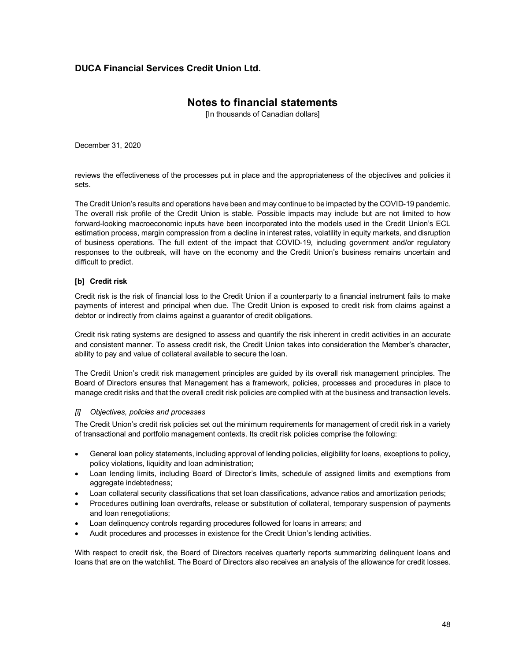# **Notes to financial statements**

[In thousands of Canadian dollars]

December 31, 2020

reviews the effectiveness of the processes put in place and the appropriateness of the objectives and policies it sets.

The Credit Union's results and operations have been and may continue to be impacted by the COVID-19 pandemic. The overall risk profile of the Credit Union is stable. Possible impacts may include but are not limited to how forward-looking macroeconomic inputs have been incorporated into the models used in the Credit Union's ECL estimation process, margin compression from a decline in interest rates, volatility in equity markets, and disruption of business operations. The full extent of the impact that COVID-19, including government and/or regulatory responses to the outbreak, will have on the economy and the Credit Union's business remains uncertain and difficult to predict.

### **[b] Credit risk**

Credit risk is the risk of financial loss to the Credit Union if a counterparty to a financial instrument fails to make payments of interest and principal when due. The Credit Union is exposed to credit risk from claims against a debtor or indirectly from claims against a guarantor of credit obligations.

Credit risk rating systems are designed to assess and quantify the risk inherent in credit activities in an accurate and consistent manner. To assess credit risk, the Credit Union takes into consideration the Member's character, ability to pay and value of collateral available to secure the loan.

The Credit Union's credit risk management principles are guided by its overall risk management principles. The Board of Directors ensures that Management has a framework, policies, processes and procedures in place to manage credit risks and that the overall credit risk policies are complied with at the business and transaction levels.

### *[i] Objectives, policies and processes*

The Credit Union's credit risk policies set out the minimum requirements for management of credit risk in a variety of transactional and portfolio management contexts. Its credit risk policies comprise the following:

- General loan policy statements, including approval of lending policies, eligibility for loans, exceptions to policy, policy violations, liquidity and loan administration;
- Loan lending limits, including Board of Director's limits, schedule of assigned limits and exemptions from aggregate indebtedness;
- Loan collateral security classifications that set loan classifications, advance ratios and amortization periods;
- Procedures outlining loan overdrafts, release or substitution of collateral, temporary suspension of payments and loan renegotiations;
- Loan delinquency controls regarding procedures followed for loans in arrears; and
- Audit procedures and processes in existence for the Credit Union's lending activities.

With respect to credit risk, the Board of Directors receives quarterly reports summarizing delinquent loans and loans that are on the watchlist. The Board of Directors also receives an analysis of the allowance for credit losses.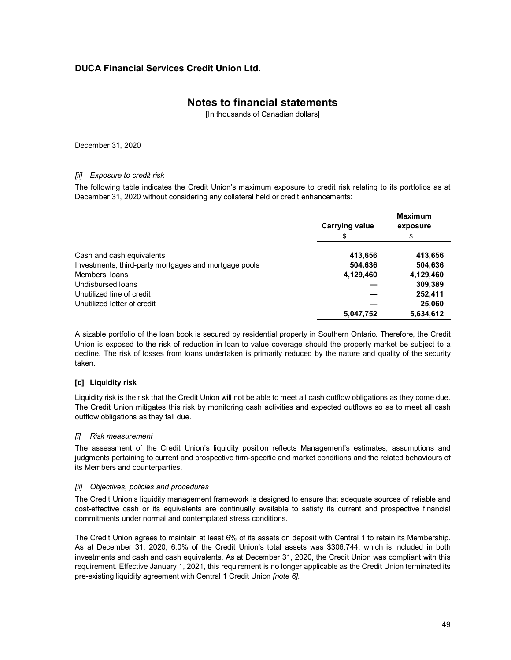# **Notes to financial statements**

[In thousands of Canadian dollars]

December 31, 2020

### *[ii] Exposure to credit risk*

The following table indicates the Credit Union's maximum exposure to credit risk relating to its portfolios as at December 31, 2020 without considering any collateral held or credit enhancements:

|                                                       | <b>Carrying value</b> | <b>Maximum</b><br>exposure |
|-------------------------------------------------------|-----------------------|----------------------------|
|                                                       | \$                    | \$                         |
| Cash and cash equivalents                             | 413,656               | 413,656                    |
| Investments, third-party mortgages and mortgage pools | 504,636               | 504,636                    |
| Members' loans                                        | 4,129,460             | 4,129,460                  |
| Undisbursed loans                                     |                       | 309,389                    |
| Unutilized line of credit                             |                       | 252,411                    |
| Unutilized letter of credit                           |                       | 25,060                     |
|                                                       | 5,047,752             | 5,634,612                  |

A sizable portfolio of the loan book is secured by residential property in Southern Ontario. Therefore, the Credit Union is exposed to the risk of reduction in loan to value coverage should the property market be subject to a decline. The risk of losses from loans undertaken is primarily reduced by the nature and quality of the security taken.

### **[c] Liquidity risk**

Liquidity risk is the risk that the Credit Union will not be able to meet all cash outflow obligations as they come due. The Credit Union mitigates this risk by monitoring cash activities and expected outflows so as to meet all cash outflow obligations as they fall due.

### *[i] Risk measurement*

The assessment of the Credit Union's liquidity position reflects Management's estimates, assumptions and judgments pertaining to current and prospective firm-specific and market conditions and the related behaviours of its Members and counterparties.

### *[ii] Objectives, policies and procedures*

The Credit Union's liquidity management framework is designed to ensure that adequate sources of reliable and cost-effective cash or its equivalents are continually available to satisfy its current and prospective financial commitments under normal and contemplated stress conditions.

The Credit Union agrees to maintain at least 6% of its assets on deposit with Central 1 to retain its Membership. As at December 31, 2020, 6.0% of the Credit Union's total assets was \$306,744, which is included in both investments and cash and cash equivalents. As at December 31, 2020, the Credit Union was compliant with this requirement. Effective January 1, 2021, this requirement is no longer applicable as the Credit Union terminated its pre-existing liquidity agreement with Central 1 Credit Union *[note 6]*.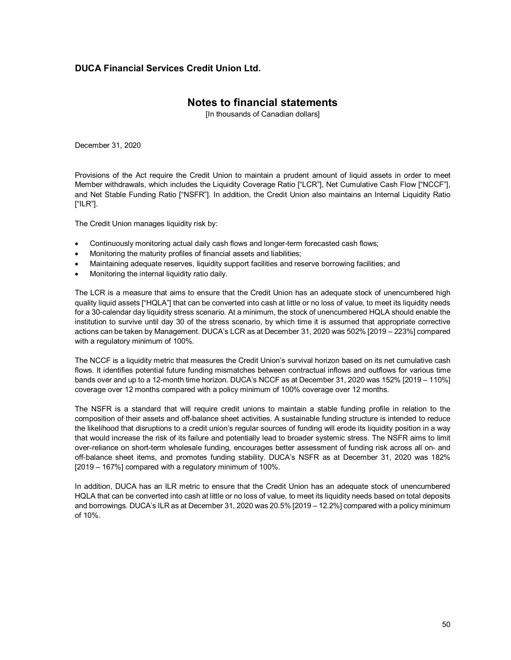### **Notes to financial statements**

[In thousands of Canadian dollars]

December 31, 2020

Provisions of the Act require the Credit Union to maintain a prudent amount of liquid assets in order to meet Member withdrawals, which includes the Liquidity Coverage Ratio ["LCR"], Net Cumulative Cash Flow ["NCCF"], and Net Stable Funding Ratio ["NSFR"]. In addition, the Credit Union also maintains an Internal Liquidity Ratio ["ILR"].

The Credit Union manages liquidity risk by:

- Continuously monitoring actual daily cash flows and longer-term forecasted cash flows;
- Monitoring the maturity profiles of financial assets and liabilities;
- Maintaining adequate reserves, liquidity support facilities and reserve borrowing facilities; and
- Monitoring the internal liquidity ratio daily.

The LCR is a measure that aims to ensure that the Credit Union has an adequate stock of unencumbered high quality liquid assets ["HQLA"] that can be converted into cash at little or no loss of value, to meet its liquidity needs for a 30-calendar day liquidity stress scenario. At a minimum, the stock of unencumbered HQLA should enable the institution to survive until day 30 of the stress scenario, by which time it is assumed that appropriate corrective actions can be taken by Management. DUCA's LCR as at December 31, 2020 was 502% [2019 – 223%] compared with a regulatory minimum of 100%.

The NCCF is a liquidity metric that measures the Credit Union's survival horizon based on its net cumulative cash flows. It identifies potential future funding mismatches between contractual inflows and outflows for various time bands over and up to a 12-month time horizon. DUCA's NCCF as at December 31, 2020 was 152% [2019 – 110%] coverage over 12 months compared with a policy minimum of 100% coverage over 12 months.

The NSFR is a standard that will require credit unions to maintain a stable funding profile in relation to the composition of their assets and off-balance sheet activities. A sustainable funding structure is intended to reduce the likelihood that disruptions to a credit union's regular sources of funding will erode its liquidity position in a way that would increase the risk of its failure and potentially lead to broader systemic stress. The NSFR aims to limit over-reliance on short-term wholesale funding, encourages better assessment of funding risk across all on- and off-balance sheet items, and promotes funding stability. DUCA's NSFR as at December 31, 2020 was 182% [2019 – 167%] compared with a regulatory minimum of 100%.

In addition, DUCA has an ILR metric to ensure that the Credit Union has an adequate stock of unencumbered HQLA that can be converted into cash at little or no loss of value, to meet its liquidity needs based on total deposits and borrowings. DUCA's ILR as at December 31, 2020 was 20.5% [2019 – 12.2%] compared with a policy minimum of 10%.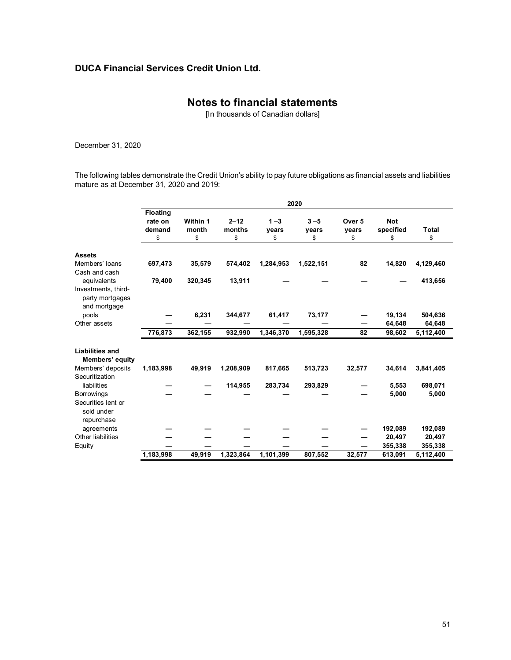# **Notes to financial statements**

[In thousands of Canadian dollars]

December 31, 2020

The following tables demonstrate the Credit Union's ability to pay future obligations as financial assets and liabilities mature as at December 31, 2020 and 2019:

|                                                                |                                            |                         |                          |                        | 2020                   |                                  |                               |                    |
|----------------------------------------------------------------|--------------------------------------------|-------------------------|--------------------------|------------------------|------------------------|----------------------------------|-------------------------------|--------------------|
|                                                                | <b>Floating</b><br>rate on<br>demand<br>\$ | Within 1<br>month<br>\$ | $2 - 12$<br>months<br>\$ | $1 - 3$<br>vears<br>\$ | $3 - 5$<br>vears<br>\$ | Over <sub>5</sub><br>vears<br>\$ | <b>Not</b><br>specified<br>\$ | <b>Total</b><br>\$ |
| <b>Assets</b>                                                  |                                            |                         |                          |                        |                        |                                  |                               |                    |
| Members' loans                                                 | 697,473                                    | 35,579                  | 574,402                  | 1,284,953              | 1,522,151              | 82                               | 14,820                        | 4,129,460          |
| Cash and cash<br>equivalents                                   | 79,400                                     | 320,345                 | 13,911                   |                        |                        |                                  |                               | 413,656            |
| Investments, third-<br>party mortgages<br>and mortgage         |                                            |                         |                          |                        |                        |                                  |                               |                    |
| pools                                                          |                                            | 6,231                   | 344,677                  | 61,417                 | 73,177                 |                                  | 19,134                        | 504,636            |
| Other assets                                                   |                                            |                         |                          |                        |                        |                                  | 64,648                        | 64,648             |
|                                                                | 776.873                                    | 362,155                 | 932,990                  | 1,346,370              | 1,595,328              | 82                               | 98,602                        | 5,112,400          |
| <b>Liabilities and</b><br>Members' equity<br>Members' deposits | 1,183,998                                  | 49,919                  | 1,208,909                | 817,665                | 513,723                | 32,577                           | 34,614                        | 3,841,405          |
| Securitization                                                 |                                            |                         |                          |                        |                        |                                  |                               |                    |
| liabilities                                                    |                                            |                         | 114,955                  | 283,734                | 293,829                |                                  | 5,553                         | 698,071            |
| <b>Borrowings</b>                                              |                                            |                         |                          |                        |                        |                                  | 5,000                         | 5,000              |
| Securities lent or<br>sold under<br>repurchase                 |                                            |                         |                          |                        |                        |                                  |                               |                    |
| agreements                                                     |                                            |                         |                          |                        |                        |                                  | 192,089                       | 192,089            |
| Other liabilities                                              |                                            |                         |                          |                        |                        |                                  | 20,497                        | 20,497             |
| Equity                                                         |                                            |                         |                          |                        |                        |                                  | 355,338                       | 355,338            |
|                                                                | 1,183,998                                  | 49,919                  | 1,323,864                | 1,101,399              | 807,552                | 32,577                           | 613,091                       | 5,112,400          |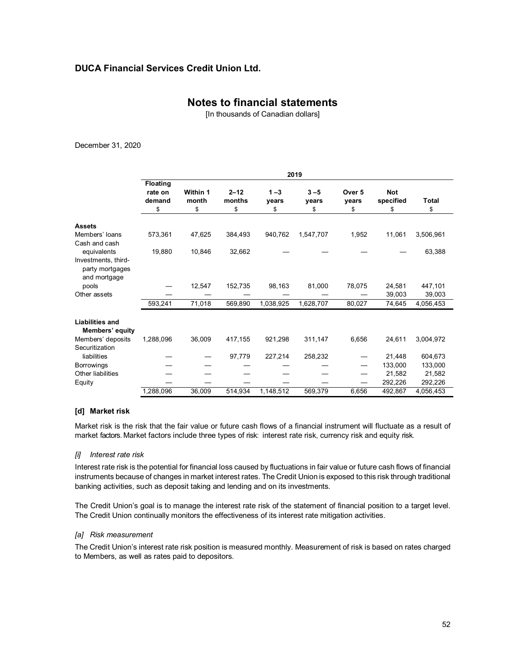# **Notes to financial statements**

[In thousands of Canadian dollars]

December 31, 2020

|                                                                        | 2019                                |                         |                          |                        |                        |                       |                               |                    |
|------------------------------------------------------------------------|-------------------------------------|-------------------------|--------------------------|------------------------|------------------------|-----------------------|-------------------------------|--------------------|
|                                                                        | Floating<br>rate on<br>demand<br>\$ | Within 1<br>month<br>\$ | $2 - 12$<br>months<br>\$ | $1 - 3$<br>vears<br>\$ | $3 - 5$<br>vears<br>\$ | Over 5<br>vears<br>\$ | <b>Not</b><br>specified<br>\$ | <b>Total</b><br>\$ |
| <b>Assets</b>                                                          |                                     |                         |                          |                        |                        |                       |                               |                    |
| Members' loans                                                         | 573,361                             | 47,625                  | 384,493                  | 940,762                | 1,547,707              | 1,952                 | 11,061                        | 3,506,961          |
| Cash and cash<br>equivalents<br>Investments, third-<br>party mortgages | 19,880                              | 10,846                  | 32,662                   |                        |                        |                       |                               | 63,388             |
| and mortgage<br>pools<br>Other assets                                  |                                     | 12,547                  | 152,735                  | 98,163                 | 81,000                 | 78,075                | 24,581<br>39,003              | 447,101<br>39,003  |
|                                                                        | 593,241                             | 71,018                  | 569,890                  | 1,038,925              | 1,628,707              | 80,027                | 74,645                        | 4,056,453          |
| <b>Liabilities and</b><br><b>Members' equity</b>                       |                                     |                         |                          |                        |                        |                       |                               |                    |
| Members' deposits                                                      | 1,288,096                           | 36,009                  | 417,155                  | 921,298                | 311,147                | 6,656                 | 24,611                        | 3,004,972          |
| Securitization<br>liabilities                                          |                                     |                         | 97,779                   | 227,214                | 258,232                |                       | 21,448                        | 604,673            |
| <b>Borrowings</b>                                                      |                                     |                         |                          |                        |                        |                       | 133,000                       | 133,000            |
| Other liabilities                                                      |                                     |                         |                          |                        |                        |                       | 21,582                        | 21,582             |
| Equity                                                                 |                                     |                         |                          |                        |                        |                       | 292,226                       | 292,226            |
|                                                                        | 1,288,096                           | 36,009                  | 514,934                  | 1,148,512              | 569,379                | 6,656                 | 492,867                       | 4,056,453          |

#### **[d] Market risk**

Market risk is the risk that the fair value or future cash flows of a financial instrument will fluctuate as a result of market factors. Market factors include three types of risk: interest rate risk, currency risk and equity risk.

#### *[i] Interest rate risk*

Interest rate risk is the potential for financial loss caused by fluctuations in fair value or future cash flows of financial instruments because of changes in market interest rates. The Credit Union is exposed to this risk through traditional banking activities, such as deposit taking and lending and on its investments.

The Credit Union's goal is to manage the interest rate risk of the statement of financial position to a target level. The Credit Union continually monitors the effectiveness of its interest rate mitigation activities.

#### *[a] Risk measurement*

The Credit Union's interest rate risk position is measured monthly. Measurement of risk is based on rates charged to Members, as well as rates paid to depositors.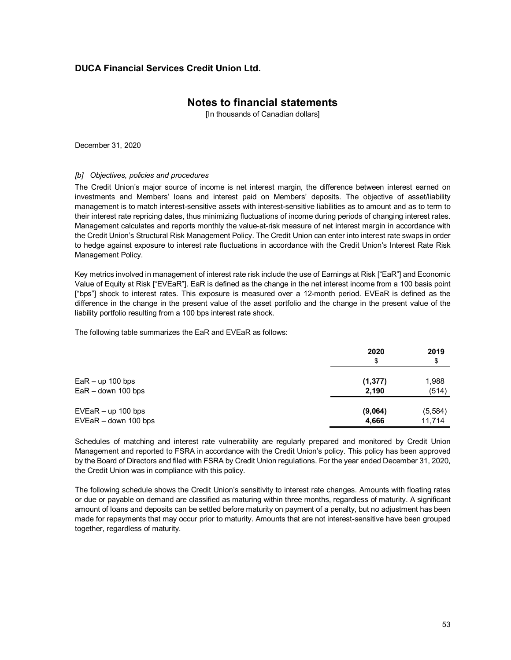### **Notes to financial statements**

[In thousands of Canadian dollars]

December 31, 2020

#### *[b] Objectives, policies and procedures*

The Credit Union's major source of income is net interest margin, the difference between interest earned on investments and Members' loans and interest paid on Members' deposits. The objective of asset/liability management is to match interest-sensitive assets with interest-sensitive liabilities as to amount and as to term to their interest rate repricing dates, thus minimizing fluctuations of income during periods of changing interest rates. Management calculates and reports monthly the value-at-risk measure of net interest margin in accordance with the Credit Union's Structural Risk Management Policy. The Credit Union can enter into interest rate swaps in order to hedge against exposure to interest rate fluctuations in accordance with the Credit Union's Interest Rate Risk Management Policy.

Key metrics involved in management of interest rate risk include the use of Earnings at Risk ["EaR"] and Economic Value of Equity at Risk ["EVEaR"]. EaR is defined as the change in the net interest income from a 100 basis point ["bps"] shock to interest rates. This exposure is measured over a 12-month period. EVEaR is defined as the difference in the change in the present value of the asset portfolio and the change in the present value of the liability portfolio resulting from a 100 bps interest rate shock.

The following table summarizes the EaR and EVEaR as follows:

|                      | 2020<br>\$ | 2019<br>\$ |
|----------------------|------------|------------|
| $EaR - up$ 100 bps   | (1, 377)   | 1,988      |
| EaR - down 100 bps   | 2,190      | (514)      |
| $EVEaR - up 100 bps$ | (9,064)    | (5, 584)   |
| EVEaR - down 100 bps | 4,666      | 11,714     |

Schedules of matching and interest rate vulnerability are regularly prepared and monitored by Credit Union Management and reported to FSRA in accordance with the Credit Union's policy. This policy has been approved by the Board of Directors and filed with FSRA by Credit Union regulations. For the year ended December 31, 2020, the Credit Union was in compliance with this policy.

The following schedule shows the Credit Union's sensitivity to interest rate changes. Amounts with floating rates or due or payable on demand are classified as maturing within three months, regardless of maturity. A significant amount of loans and deposits can be settled before maturity on payment of a penalty, but no adjustment has been made for repayments that may occur prior to maturity. Amounts that are not interest-sensitive have been grouped together, regardless of maturity.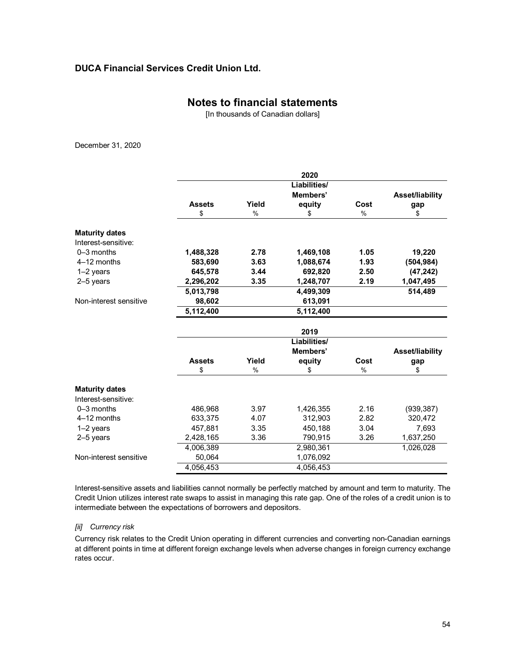# **Notes to financial statements**

[In thousands of Canadian dollars]

December 31, 2020

|                        |               |               | 2020         |               |                        |
|------------------------|---------------|---------------|--------------|---------------|------------------------|
|                        |               |               | Liabilities/ |               |                        |
|                        |               |               | Members'     |               | Asset/liability        |
|                        | <b>Assets</b> | Yield         | equity       | Cost          | gap                    |
|                        | \$            | $\frac{0}{0}$ | \$           | $\%$          | \$                     |
| <b>Maturity dates</b>  |               |               |              |               |                        |
| Interest-sensitive:    |               |               |              |               |                        |
| 0-3 months             | 1,488,328     | 2.78          | 1,469,108    | 1.05          | 19,220                 |
| 4-12 months            | 583,690       | 3.63          | 1,088,674    | 1.93          | (504, 984)             |
| $1-2$ years            | 645,578       | 3.44          | 692,820      | 2.50          | (47, 242)              |
| 2-5 years              | 2,296,202     | 3.35          | 1,248,707    | 2.19          | 1,047,495              |
|                        | 5,013,798     |               | 4,499,309    |               | 514,489                |
| Non-interest sensitive | 98,602        |               | 613,091      |               |                        |
|                        | 5,112,400     |               | 5,112,400    |               |                        |
|                        |               |               | 2019         |               |                        |
|                        |               |               | Liabilities/ |               |                        |
|                        |               |               | Members'     |               | <b>Asset/liability</b> |
|                        | <b>Assets</b> | Yield         | equity       | Cost          | gap                    |
|                        | \$            | $\frac{0}{0}$ | \$           | $\frac{0}{0}$ | \$                     |
| <b>Maturity dates</b>  |               |               |              |               |                        |
| Interest-sensitive:    |               |               |              |               |                        |
| $0 - 3$ months         | 486,968       | 3.97          | 1,426,355    | 2.16          | (939, 387)             |
| 4-12 months            | 633,375       | 4.07          | 312,903      | 2.82          | 320,472                |
| $1-2$ years            | 457,881       | 3.35          | 450,188      | 3.04          | 7,693                  |
| 2-5 years              | 2,428,165     | 3.36          | 790,915      | 3.26          | 1,637,250              |
|                        | 4,006,389     |               | 2,980,361    |               | 1,026,028              |
| Non-interest sensitive | 50,064        |               | 1,076,092    |               |                        |
|                        | 4,056,453     |               | 4,056,453    |               |                        |

Interest-sensitive assets and liabilities cannot normally be perfectly matched by amount and term to maturity. The Credit Union utilizes interest rate swaps to assist in managing this rate gap. One of the roles of a credit union is to intermediate between the expectations of borrowers and depositors.

#### *[ii] Currency risk*

Currency risk relates to the Credit Union operating in different currencies and converting non-Canadian earnings at different points in time at different foreign exchange levels when adverse changes in foreign currency exchange rates occur.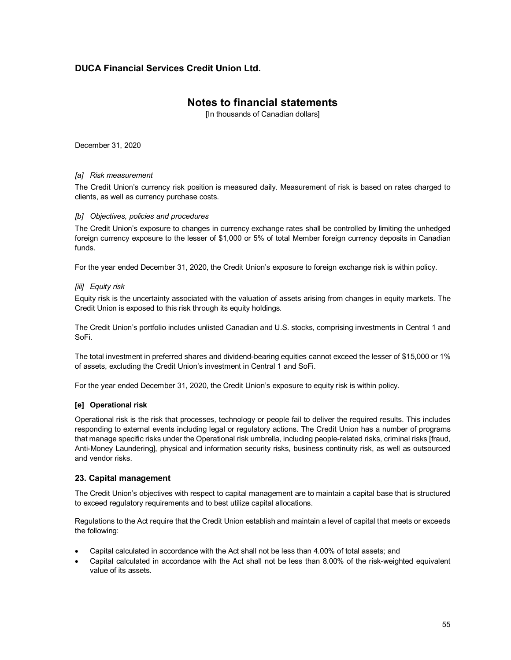# **Notes to financial statements**

[In thousands of Canadian dollars]

December 31, 2020

#### *[a] Risk measurement*

The Credit Union's currency risk position is measured daily. Measurement of risk is based on rates charged to clients, as well as currency purchase costs.

#### *[b] Objectives, policies and procedures*

The Credit Union's exposure to changes in currency exchange rates shall be controlled by limiting the unhedged foreign currency exposure to the lesser of \$1,000 or 5% of total Member foreign currency deposits in Canadian funds.

For the year ended December 31, 2020, the Credit Union's exposure to foreign exchange risk is within policy.

#### *[iii] Equity risk*

Equity risk is the uncertainty associated with the valuation of assets arising from changes in equity markets. The Credit Union is exposed to this risk through its equity holdings.

The Credit Union's portfolio includes unlisted Canadian and U.S. stocks, comprising investments in Central 1 and SoFi.

The total investment in preferred shares and dividend-bearing equities cannot exceed the lesser of \$15,000 or 1% of assets, excluding the Credit Union's investment in Central 1 and SoFi.

For the year ended December 31, 2020, the Credit Union's exposure to equity risk is within policy.

#### **[e] Operational risk**

Operational risk is the risk that processes, technology or people fail to deliver the required results. This includes responding to external events including legal or regulatory actions. The Credit Union has a number of programs that manage specific risks under the Operational risk umbrella, including people-related risks, criminal risks [fraud, Anti-Money Laundering], physical and information security risks, business continuity risk, as well as outsourced and vendor risks.

### **23. Capital management**

The Credit Union's objectives with respect to capital management are to maintain a capital base that is structured to exceed regulatory requirements and to best utilize capital allocations.

Regulations to the Act require that the Credit Union establish and maintain a level of capital that meets or exceeds the following:

- Capital calculated in accordance with the Act shall not be less than 4.00% of total assets; and
- Capital calculated in accordance with the Act shall not be less than 8.00% of the risk-weighted equivalent value of its assets.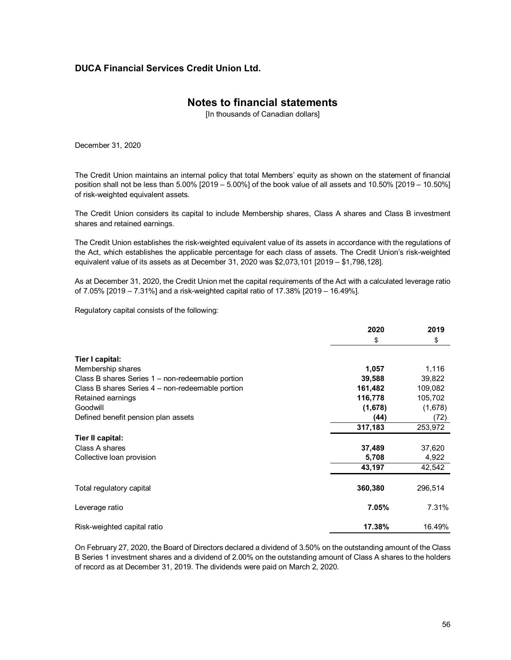### **Notes to financial statements**

[In thousands of Canadian dollars]

December 31, 2020

The Credit Union maintains an internal policy that total Members' equity as shown on the statement of financial position shall not be less than 5.00% [2019 – 5.00%] of the book value of all assets and 10.50% [2019 – 10.50%] of risk-weighted equivalent assets.

The Credit Union considers its capital to include Membership shares, Class A shares and Class B investment shares and retained earnings.

The Credit Union establishes the risk-weighted equivalent value of its assets in accordance with the regulations of the Act, which establishes the applicable percentage for each class of assets. The Credit Union's risk-weighted equivalent value of its assets as at December 31, 2020 was \$2,073,101 [2019 – \$1,798,128].

As at December 31, 2020, the Credit Union met the capital requirements of the Act with a calculated leverage ratio of 7.05% [2019 – 7.31%] and a risk-weighted capital ratio of 17.38% [2019 – 16.49%].

Regulatory capital consists of the following:

|                                                  | 2020<br>\$ | 2019<br>\$ |
|--------------------------------------------------|------------|------------|
|                                                  |            |            |
| Tier I capital:                                  |            |            |
| Membership shares                                | 1,057      | 1,116      |
| Class B shares Series 1 – non-redeemable portion | 39,588     | 39,822     |
| Class B shares Series 4 – non-redeemable portion | 161,482    | 109,082    |
| Retained earnings                                | 116,778    | 105,702    |
| Goodwill                                         | (1,678)    | (1,678)    |
| Defined benefit pension plan assets              | (44)       | (72)       |
|                                                  | 317,183    | 253,972    |
| Tier II capital:                                 |            |            |
| Class A shares                                   | 37,489     | 37,620     |
| Collective loan provision                        | 5,708      | 4,922      |
|                                                  | 43,197     | 42,542     |
| Total regulatory capital                         | 360,380    | 296,514    |
| Leverage ratio                                   | 7.05%      | 7.31%      |
| Risk-weighted capital ratio                      | 17.38%     | 16.49%     |

On February 27, 2020, the Board of Directors declared a dividend of 3.50% on the outstanding amount of the Class B Series 1 investment shares and a dividend of 2.00% on the outstanding amount of Class A shares to the holders of record as at December 31, 2019. The dividends were paid on March 2, 2020.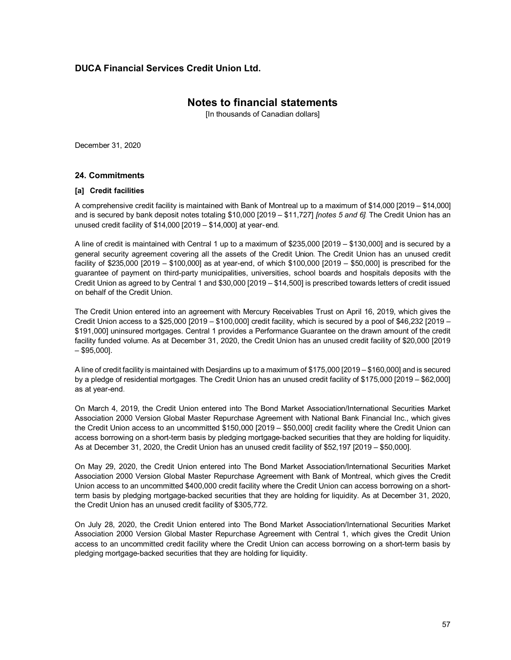# **Notes to financial statements**

[In thousands of Canadian dollars]

December 31, 2020

### **24. Commitments**

#### **[a] Credit facilities**

A comprehensive credit facility is maintained with Bank of Montreal up to a maximum of \$14,000 [2019 – \$14,000] and is secured by bank deposit notes totaling \$10,000 [2019 – \$11,727] *[notes 5 and 6].* The Credit Union has an unused credit facility of \$14,000 [2019 – \$14,000] at year-end.

A line of credit is maintained with Central 1 up to a maximum of \$235,000 [2019 – \$130,000] and is secured by a general security agreement covering all the assets of the Credit Union. The Credit Union has an unused credit facility of \$235,000 [2019 – \$100,000] as at year-end, of which \$100,000 [2019 – \$50,000] is prescribed for the guarantee of payment on third-party municipalities, universities, school boards and hospitals deposits with the Credit Union as agreed to by Central 1 and \$30,000 [2019 – \$14,500] is prescribed towards letters of credit issued on behalf of the Credit Union.

The Credit Union entered into an agreement with Mercury Receivables Trust on April 16, 2019, which gives the Credit Union access to a \$25,000 [2019 – \$100,000] credit facility, which is secured by a pool of \$46,232 [2019 – \$191,000] uninsured mortgages. Central 1 provides a Performance Guarantee on the drawn amount of the credit facility funded volume. As at December 31, 2020, the Credit Union has an unused credit facility of \$20,000 [2019  $-$  \$95,000].

A line of credit facility is maintained with Desjardins up to a maximum of \$175,000 [2019 – \$160,000] and is secured by a pledge of residential mortgages. The Credit Union has an unused credit facility of \$175,000 [2019 – \$62,000] as at year-end.

On March 4, 2019, the Credit Union entered into The Bond Market Association/International Securities Market Association 2000 Version Global Master Repurchase Agreement with National Bank Financial Inc., which gives the Credit Union access to an uncommitted \$150,000 [2019 – \$50,000] credit facility where the Credit Union can access borrowing on a short-term basis by pledging mortgage-backed securities that they are holding for liquidity. As at December 31, 2020, the Credit Union has an unused credit facility of \$52,197 [2019 – \$50,000].

On May 29, 2020, the Credit Union entered into The Bond Market Association/International Securities Market Association 2000 Version Global Master Repurchase Agreement with Bank of Montreal, which gives the Credit Union access to an uncommitted \$400,000 credit facility where the Credit Union can access borrowing on a shortterm basis by pledging mortgage-backed securities that they are holding for liquidity. As at December 31, 2020, the Credit Union has an unused credit facility of \$305,772.

On July 28, 2020, the Credit Union entered into The Bond Market Association/International Securities Market Association 2000 Version Global Master Repurchase Agreement with Central 1, which gives the Credit Union access to an uncommitted credit facility where the Credit Union can access borrowing on a short-term basis by pledging mortgage-backed securities that they are holding for liquidity.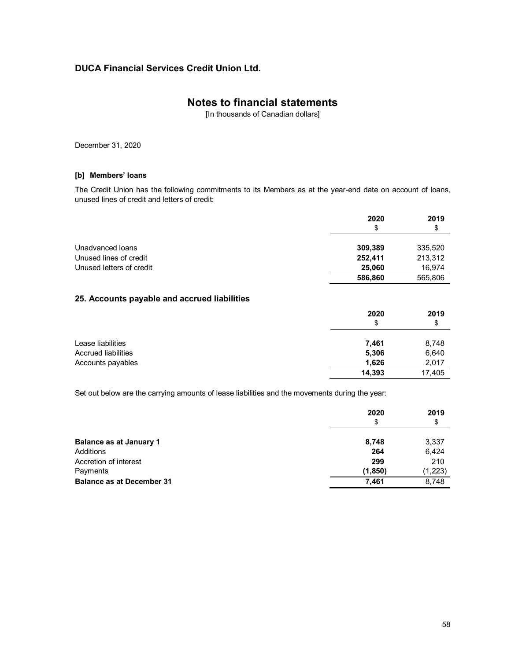# **Notes to financial statements**

[In thousands of Canadian dollars]

December 31, 2020

### **[b] Members' loans**

The Credit Union has the following commitments to its Members as at the year-end date on account of loans, unused lines of credit and letters of credit:

|                          | 2020<br>\$ | 2019<br>\$ |
|--------------------------|------------|------------|
| Unadvanced loans         | 309,389    | 335,520    |
| Unused lines of credit   | 252,411    | 213,312    |
| Unused letters of credit | 25.060     | 16.974     |
|                          | 586,860    | 565,806    |

### **25. Accounts payable and accrued liabilities**

|                     | 2020<br>\$ | 2019<br>\$ |
|---------------------|------------|------------|
|                     |            |            |
| Lease liabilities   | 7.461      | 8,748      |
| Accrued liabilities | 5,306      | 6,640      |
| Accounts payables   | 1.626      | 2,017      |
|                     | 14,393     | 17,405     |

Set out below are the carrying amounts of lease liabilities and the movements during the year:

|                                  | 2020<br>\$ | 2019<br>\$ |
|----------------------------------|------------|------------|
| <b>Balance as at January 1</b>   | 8,748      | 3,337      |
| Additions                        | 264        | 6,424      |
| Accretion of interest            | 299        | 210        |
| Payments                         | (1, 850)   | (1, 223)   |
| <b>Balance as at December 31</b> | 7.461      | 8,748      |